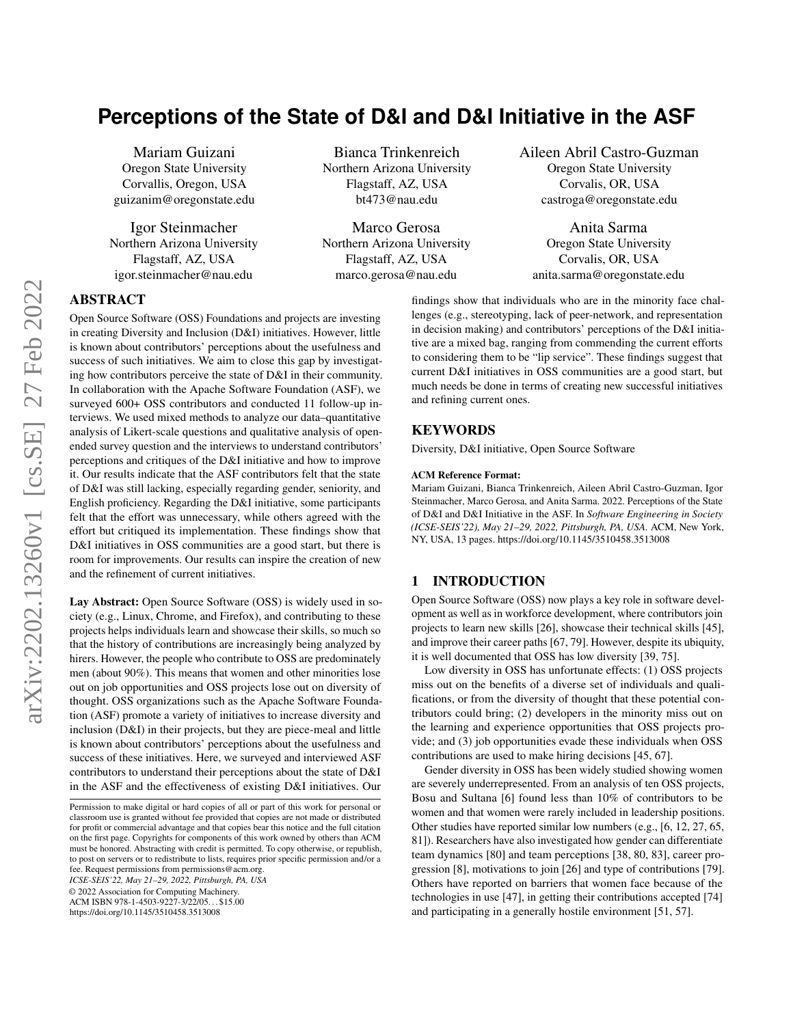# **Perceptions of the State of D&I and D&I Initiative in the ASF**

Mariam Guizani Oregon State University Corvallis, Oregon, USA guizanim@oregonstate.edu

Igor Steinmacher Northern Arizona University Flagstaff, AZ, USA igor.steinmacher@nau.edu

Bianca Trinkenreich Northern Arizona University Flagstaff, AZ, USA bt473@nau.edu

Marco Gerosa Northern Arizona University Flagstaff, AZ, USA marco.gerosa@nau.edu

Aileen Abril Castro-Guzman Oregon State University Corvalis, OR, USA castroga@oregonstate.edu

Anita Sarma Oregon State University Corvalis, OR, USA anita.sarma@oregonstate.edu

ABSTRACT

Open Source Software (OSS) Foundations and projects are investing in creating Diversity and Inclusion (D&I) initiatives. However, little is known about contributors' perceptions about the usefulness and success of such initiatives. We aim to close this gap by investigating how contributors perceive the state of D&I in their community. In collaboration with the Apache Software Foundation (ASF), we surveyed 600+ OSS contributors and conducted 11 follow-up interviews. We used mixed methods to analyze our data–quantitative analysis of Likert-scale questions and qualitative analysis of openended survey question and the interviews to understand contributors' perceptions and critiques of the D&I initiative and how to improve it. Our results indicate that the ASF contributors felt that the state of D&I was still lacking, especially regarding gender, seniority, and English proficiency. Regarding the D&I initiative, some participants felt that the effort was unnecessary, while others agreed with the effort but critiqued its implementation. These findings show that D&I initiatives in OSS communities are a good start, but there is room for improvements. Our results can inspire the creation of new and the refinement of current initiatives.

Lay Abstract: Open Source Software (OSS) is widely used in society (e.g., Linux, Chrome, and Firefox), and contributing to these projects helps individuals learn and showcase their skills, so much so that the history of contributions are increasingly being analyzed by hirers. However, the people who contribute to OSS are predominately men (about 90%). This means that women and other minorities lose out on job opportunities and OSS projects lose out on diversity of thought. OSS organizations such as the Apache Software Foundation (ASF) promote a variety of initiatives to increase diversity and inclusion (D&I) in their projects, but they are piece-meal and little is known about contributors' perceptions about the usefulness and success of these initiatives. Here, we surveyed and interviewed ASF contributors to understand their perceptions about the state of D&I in the ASF and the effectiveness of existing D&I initiatives. Our

*ICSE-SEIS'22, May 21–29, 2022, Pittsburgh, PA, USA*

© 2022 Association for Computing Machinery.

ACM ISBN 978-1-4503-9227-3/22/05. . . \$15.00

<https://doi.org/10.1145/3510458.3513008>

### KEYWORDS

Diversity, D&I initiative, Open Source Software

#### ACM Reference Format:

and refining current ones.

Mariam Guizani, Bianca Trinkenreich, Aileen Abril Castro-Guzman, Igor Steinmacher, Marco Gerosa, and Anita Sarma. 2022. Perceptions of the State of D&I and D&I Initiative in the ASF. In *Software Engineering in Society (ICSE-SEIS'22), May 21–29, 2022, Pittsburgh, PA, USA.* ACM, New York, NY, USA, [13](#page-12-0) pages.<https://doi.org/10.1145/3510458.3513008>

findings show that individuals who are in the minority face challenges (e.g., stereotyping, lack of peer-network, and representation in decision making) and contributors' perceptions of the D&I initiative are a mixed bag, ranging from commending the current efforts to considering them to be "lip service". These findings suggest that current D&I initiatives in OSS communities are a good start, but much needs be done in terms of creating new successful initiatives

#### 1 INTRODUCTION

Open Source Software (OSS) now plays a key role in software development as well as in workforce development, where contributors join projects to learn new skills [\[26\]](#page-10-0), showcase their technical skills [\[45\]](#page-11-0), and improve their career paths [\[67,](#page-11-1) [79\]](#page-12-1). However, despite its ubiquity, it is well documented that OSS has low diversity [\[39,](#page-11-2) [75\]](#page-12-2).

Low diversity in OSS has unfortunate effects: (1) OSS projects miss out on the benefits of a diverse set of individuals and qualifications, or from the diversity of thought that these potential contributors could bring; (2) developers in the minority miss out on the learning and experience opportunities that OSS projects provide; and (3) job opportunities evade these individuals when OSS contributions are used to make hiring decisions [\[45,](#page-11-0) [67\]](#page-11-1).

Gender diversity in OSS has been widely studied showing women are severely underrepresented. From an analysis of ten OSS projects, Bosu and Sultana [\[6\]](#page-10-1) found less than 10% of contributors to be women and that women were rarely included in leadership positions. Other studies have reported similar low numbers (e.g., [\[6,](#page-10-1) [12,](#page-10-2) [27,](#page-11-3) [65,](#page-11-4) [81\]](#page-12-3)). Researchers have also investigated how gender can differentiate team dynamics [\[80\]](#page-12-4) and team perceptions [\[38,](#page-11-5) [80,](#page-12-4) [83\]](#page-12-5), career progression [\[8\]](#page-10-3), motivations to join [\[26\]](#page-10-0) and type of contributions [\[79\]](#page-12-1). Others have reported on barriers that women face because of the technologies in use [\[47\]](#page-11-6), in getting their contributions accepted [\[74\]](#page-12-6) and participating in a generally hostile environment [\[51,](#page-11-7) [57\]](#page-11-8).

Permission to make digital or hard copies of all or part of this work for personal or classroom use is granted without fee provided that copies are not made or distributed for profit or commercial advantage and that copies bear this notice and the full citation on the first page. Copyrights for components of this work owned by others than ACM must be honored. Abstracting with credit is permitted. To copy otherwise, or republish, to post on servers or to redistribute to lists, requires prior specific permission and/or a fee. Request permissions from permissions@acm.org.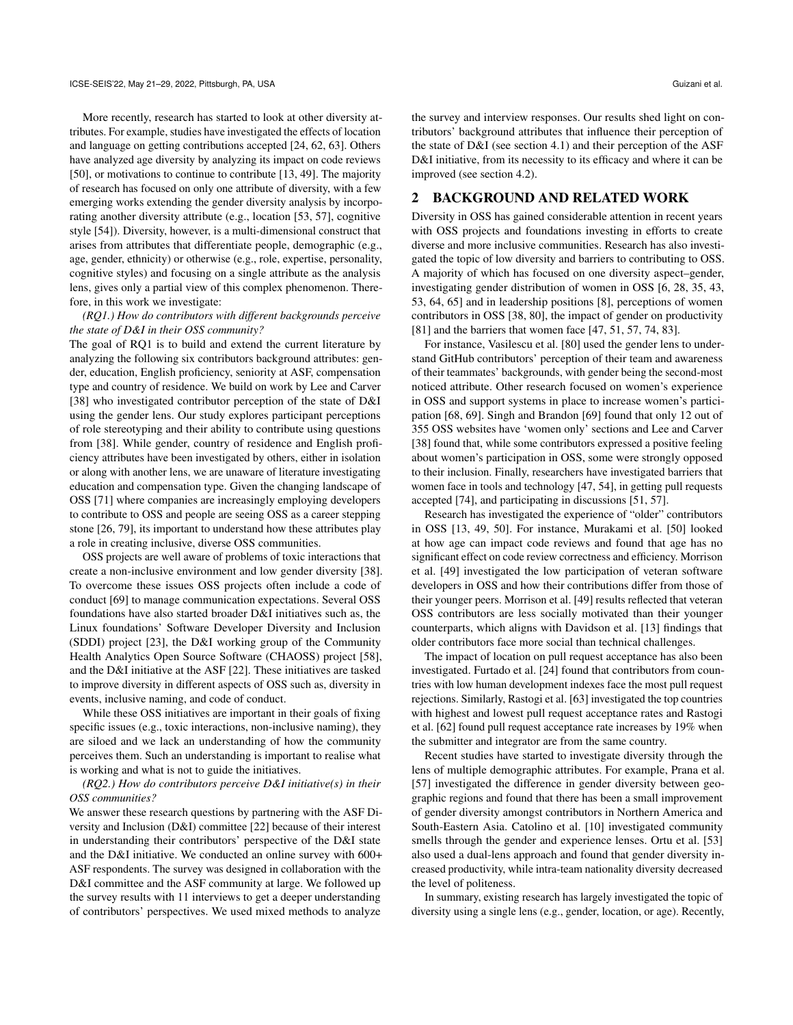More recently, research has started to look at other diversity attributes. For example, studies have investigated the effects of location and language on getting contributions accepted [\[24,](#page-10-4) [62,](#page-11-9) [63\]](#page-11-10). Others have analyzed age diversity by analyzing its impact on code reviews [\[50\]](#page-11-11), or motivations to continue to contribute [\[13,](#page-10-5) [49\]](#page-11-12). The majority of research has focused on only one attribute of diversity, with a few emerging works extending the gender diversity analysis by incorporating another diversity attribute (e.g., location [\[53,](#page-11-13) [57\]](#page-11-8), cognitive style [\[54\]](#page-11-14)). Diversity, however, is a multi-dimensional construct that arises from attributes that differentiate people, demographic (e.g., age, gender, ethnicity) or otherwise (e.g., role, expertise, personality, cognitive styles) and focusing on a single attribute as the analysis lens, gives only a partial view of this complex phenomenon. Therefore, in this work we investigate:

#### *(RQ1.) How do contributors with different backgrounds perceive the state of D&I in their OSS community?*

The goal of RQ1 is to build and extend the current literature by analyzing the following six contributors background attributes: gender, education, English proficiency, seniority at ASF, compensation type and country of residence. We build on work by Lee and Carver [\[38\]](#page-11-5) who investigated contributor perception of the state of D&I using the gender lens. Our study explores participant perceptions of role stereotyping and their ability to contribute using questions from [\[38\]](#page-11-5). While gender, country of residence and English proficiency attributes have been investigated by others, either in isolation or along with another lens, we are unaware of literature investigating education and compensation type. Given the changing landscape of OSS [\[71\]](#page-11-15) where companies are increasingly employing developers to contribute to OSS and people are seeing OSS as a career stepping stone [\[26,](#page-10-0) [79\]](#page-12-1), its important to understand how these attributes play a role in creating inclusive, diverse OSS communities.

OSS projects are well aware of problems of toxic interactions that create a non-inclusive environment and low gender diversity [\[38\]](#page-11-5). To overcome these issues OSS projects often include a code of conduct [\[69\]](#page-11-16) to manage communication expectations. Several OSS foundations have also started broader D&I initiatives such as, the Linux foundations' Software Developer Diversity and Inclusion (SDDI) project [\[23\]](#page-10-6), the D&I working group of the Community Health Analytics Open Source Software (CHAOSS) project [\[58\]](#page-11-17), and the D&I initiative at the ASF [\[22\]](#page-10-7). These initiatives are tasked to improve diversity in different aspects of OSS such as, diversity in events, inclusive naming, and code of conduct.

While these OSS initiatives are important in their goals of fixing specific issues (e.g., toxic interactions, non-inclusive naming), they are siloed and we lack an understanding of how the community perceives them. Such an understanding is important to realise what is working and what is not to guide the initiatives.

#### *(RQ2.) How do contributors perceive D&I initiative(s) in their OSS communities?*

We answer these research questions by partnering with the ASF Diversity and Inclusion (D&I) committee [\[22\]](#page-10-7) because of their interest in understanding their contributors' perspective of the D&I state and the D&I initiative. We conducted an online survey with 600+ ASF respondents. The survey was designed in collaboration with the D&I committee and the ASF community at large. We followed up the survey results with 11 interviews to get a deeper understanding of contributors' perspectives. We used mixed methods to analyze

the survey and interview responses. Our results shed light on contributors' background attributes that influence their perception of the state of D&I (see section [4.1\)](#page-3-0) and their perception of the ASF D&I initiative, from its necessity to its efficacy and where it can be improved (see section [4.2\)](#page-7-0).

#### 2 BACKGROUND AND RELATED WORK

Diversity in OSS has gained considerable attention in recent years with OSS projects and foundations investing in efforts to create diverse and more inclusive communities. Research has also investigated the topic of low diversity and barriers to contributing to OSS. A majority of which has focused on one diversity aspect–gender, investigating gender distribution of women in OSS [\[6,](#page-10-1) [28,](#page-11-18) [35,](#page-11-19) [43,](#page-11-20) [53,](#page-11-13) [64,](#page-11-21) [65\]](#page-11-4) and in leadership positions [\[8\]](#page-10-3), perceptions of women contributors in OSS [\[38,](#page-11-5) [80\]](#page-12-4), the impact of gender on productivity [\[81\]](#page-12-3) and the barriers that women face [\[47,](#page-11-6) [51,](#page-11-7) [57,](#page-11-8) [74,](#page-12-6) [83\]](#page-12-5).

For instance, Vasilescu et al. [\[80\]](#page-12-4) used the gender lens to understand GitHub contributors' perception of their team and awareness of their teammates' backgrounds, with gender being the second-most noticed attribute. Other research focused on women's experience in OSS and support systems in place to increase women's participation [\[68,](#page-11-22) [69\]](#page-11-16). Singh and Brandon [\[69\]](#page-11-16) found that only 12 out of 355 OSS websites have 'women only' sections and Lee and Carver [\[38\]](#page-11-5) found that, while some contributors expressed a positive feeling about women's participation in OSS, some were strongly opposed to their inclusion. Finally, researchers have investigated barriers that women face in tools and technology [\[47,](#page-11-6) [54\]](#page-11-14), in getting pull requests accepted [\[74\]](#page-12-6), and participating in discussions [\[51,](#page-11-7) [57\]](#page-11-8).

Research has investigated the experience of "older" contributors in OSS [\[13,](#page-10-5) [49,](#page-11-12) [50\]](#page-11-11). For instance, Murakami et al. [\[50\]](#page-11-11) looked at how age can impact code reviews and found that age has no significant effect on code review correctness and efficiency. Morrison et al. [\[49\]](#page-11-12) investigated the low participation of veteran software developers in OSS and how their contributions differ from those of their younger peers. Morrison et al. [\[49\]](#page-11-12) results reflected that veteran OSS contributors are less socially motivated than their younger counterparts, which aligns with Davidson et al. [\[13\]](#page-10-5) findings that older contributors face more social than technical challenges.

The impact of location on pull request acceptance has also been investigated. Furtado et al. [\[24\]](#page-10-4) found that contributors from countries with low human development indexes face the most pull request rejections. Similarly, Rastogi et al. [\[63\]](#page-11-10) investigated the top countries with highest and lowest pull request acceptance rates and Rastogi et al. [\[62\]](#page-11-9) found pull request acceptance rate increases by 19% when the submitter and integrator are from the same country.

Recent studies have started to investigate diversity through the lens of multiple demographic attributes. For example, Prana et al. [\[57\]](#page-11-8) investigated the difference in gender diversity between geographic regions and found that there has been a small improvement of gender diversity amongst contributors in Northern America and South-Eastern Asia. Catolino et al. [\[10\]](#page-10-8) investigated community smells through the gender and experience lenses. Ortu et al. [\[53\]](#page-11-13) also used a dual-lens approach and found that gender diversity increased productivity, while intra-team nationality diversity decreased the level of politeness.

In summary, existing research has largely investigated the topic of diversity using a single lens (e.g., gender, location, or age). Recently,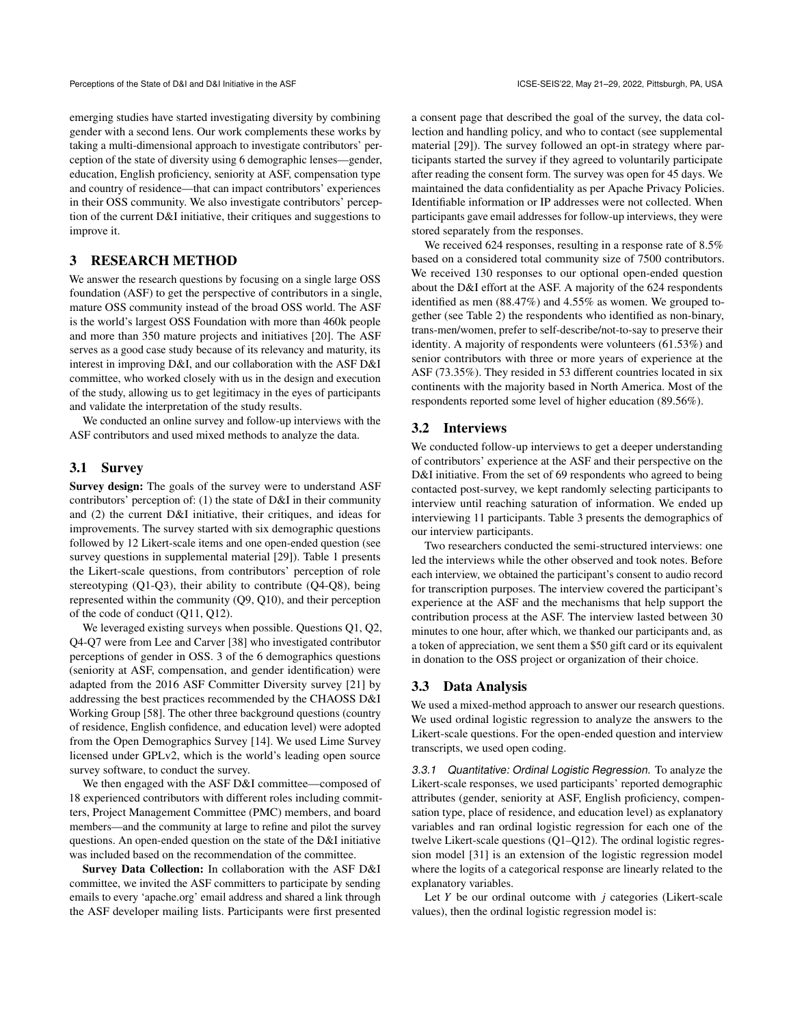emerging studies have started investigating diversity by combining gender with a second lens. Our work complements these works by taking a multi-dimensional approach to investigate contributors' perception of the state of diversity using 6 demographic lenses—gender, education, English proficiency, seniority at ASF, compensation type and country of residence—that can impact contributors' experiences in their OSS community. We also investigate contributors' perception of the current D&I initiative, their critiques and suggestions to improve it.

## 3 RESEARCH METHOD

We answer the research questions by focusing on a single large OSS foundation (ASF) to get the perspective of contributors in a single, mature OSS community instead of the broad OSS world. The ASF is the world's largest OSS Foundation with more than 460k people and more than 350 mature projects and initiatives [\[20\]](#page-10-9). The ASF serves as a good case study because of its relevancy and maturity, its interest in improving D&I, and our collaboration with the ASF D&I committee, who worked closely with us in the design and execution of the study, allowing us to get legitimacy in the eyes of participants and validate the interpretation of the study results.

We conducted an online survey and follow-up interviews with the ASF contributors and used mixed methods to analyze the data.

#### 3.1 Survey

Survey design: The goals of the survey were to understand ASF contributors' perception of: (1) the state of D&I in their community and (2) the current D&I initiative, their critiques, and ideas for improvements. The survey started with six demographic questions followed by 12 Likert-scale items and one open-ended question (see survey questions in supplemental material [\[29\]](#page-11-23)). Table [1](#page-3-1) presents the Likert-scale questions, from contributors' perception of role stereotyping (Q1-Q3), their ability to contribute (Q4-Q8), being represented within the community (Q9, Q10), and their perception of the code of conduct (Q11, Q12).

We leveraged existing surveys when possible. Questions Q1, Q2, Q4-Q7 were from Lee and Carver [\[38\]](#page-11-5) who investigated contributor perceptions of gender in OSS. 3 of the 6 demographics questions (seniority at ASF, compensation, and gender identification) were adapted from the 2016 ASF Committer Diversity survey [\[21\]](#page-10-10) by addressing the best practices recommended by the CHAOSS D&I Working Group [\[58\]](#page-11-17). The other three background questions (country of residence, English confidence, and education level) were adopted from the Open Demographics Survey [\[14\]](#page-10-11). We used Lime Survey licensed under GPLv2, which is the world's leading open source survey software, to conduct the survey.

We then engaged with the ASF D&I committee—composed of 18 experienced contributors with different roles including committers, Project Management Committee (PMC) members, and board members—and the community at large to refine and pilot the survey questions. An open-ended question on the state of the D&I initiative was included based on the recommendation of the committee.

Survey Data Collection: In collaboration with the ASF D&I committee, we invited the ASF committers to participate by sending emails to every 'apache.org' email address and shared a link through the ASF developer mailing lists. Participants were first presented a consent page that described the goal of the survey, the data collection and handling policy, and who to contact (see supplemental material [\[29\]](#page-11-23)). The survey followed an opt-in strategy where participants started the survey if they agreed to voluntarily participate after reading the consent form. The survey was open for 45 days. We maintained the data confidentiality as per Apache Privacy Policies. Identifiable information or IP addresses were not collected. When participants gave email addresses for follow-up interviews, they were stored separately from the responses.

We received 624 responses, resulting in a response rate of 8.5% based on a considered total community size of 7500 contributors. We received 130 responses to our optional open-ended question about the D&I effort at the ASF. A majority of the 624 respondents identified as men (88.47%) and 4.55% as women. We grouped together (see Table [2\)](#page-3-2) the respondents who identified as non-binary, trans-men/women, prefer to self-describe/not-to-say to preserve their identity. A majority of respondents were volunteers (61.53%) and senior contributors with three or more years of experience at the ASF (73.35%). They resided in 53 different countries located in six continents with the majority based in North America. Most of the respondents reported some level of higher education (89.56%).

#### 3.2 Interviews

We conducted follow-up interviews to get a deeper understanding of contributors' experience at the ASF and their perspective on the D&I initiative. From the set of 69 respondents who agreed to being contacted post-survey, we kept randomly selecting participants to interview until reaching saturation of information. We ended up interviewing 11 participants. Table [3](#page-4-0) presents the demographics of our interview participants.

Two researchers conducted the semi-structured interviews: one led the interviews while the other observed and took notes. Before each interview, we obtained the participant's consent to audio record for transcription purposes. The interview covered the participant's experience at the ASF and the mechanisms that help support the contribution process at the ASF. The interview lasted between 30 minutes to one hour, after which, we thanked our participants and, as a token of appreciation, we sent them a \$50 gift card or its equivalent in donation to the OSS project or organization of their choice.

#### 3.3 Data Analysis

We used a mixed-method approach to answer our research questions. We used ordinal logistic regression to analyze the answers to the Likert-scale questions. For the open-ended question and interview transcripts, we used open coding.

<span id="page-2-0"></span>3.3.1 Quantitative: Ordinal Logistic Regression. To analyze the Likert-scale responses, we used participants' reported demographic attributes (gender, seniority at ASF, English proficiency, compensation type, place of residence, and education level) as explanatory variables and ran ordinal logistic regression for each one of the twelve Likert-scale questions (Q1–Q12). The ordinal logistic regression model [\[31\]](#page-11-24) is an extension of the logistic regression model where the logits of a categorical response are linearly related to the explanatory variables.

Let *Y* be our ordinal outcome with *j* categories (Likert-scale values), then the ordinal logistic regression model is: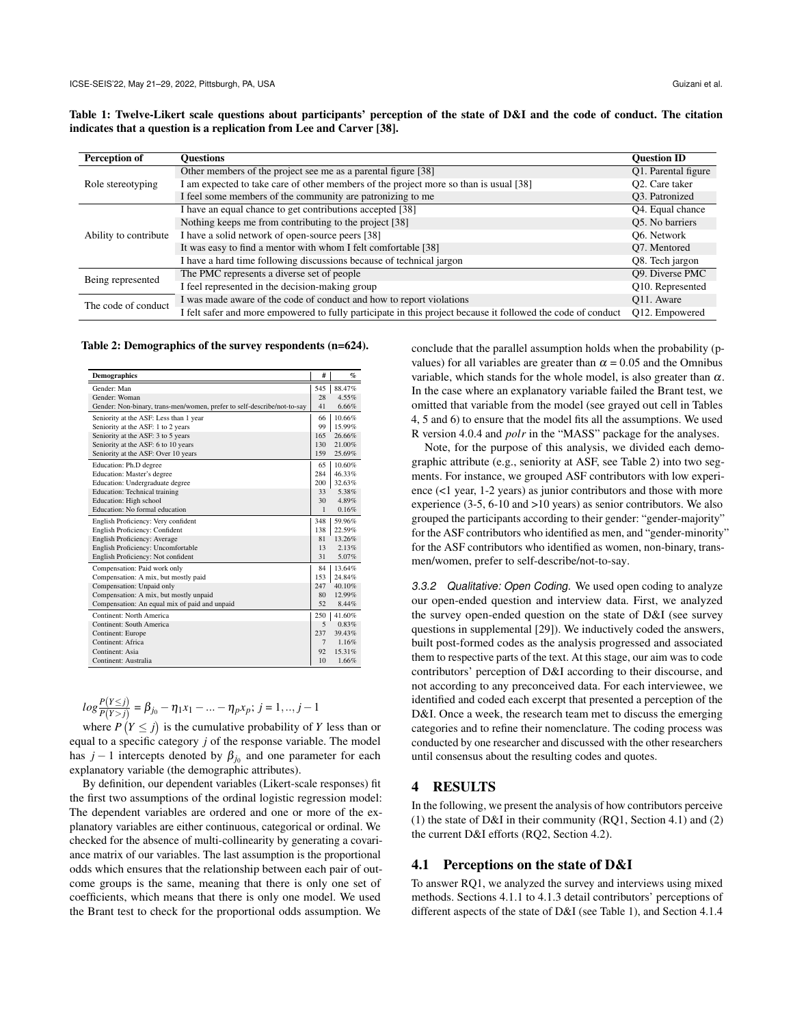<span id="page-3-1"></span>

| Table 1: Twelve-Likert scale questions about participants' perception of the state of D&I and the code of conduct. The citation |  |  |  |  |  |  |  |  |
|---------------------------------------------------------------------------------------------------------------------------------|--|--|--|--|--|--|--|--|
| indicates that a question is a replication from Lee and Carver [38].                                                            |  |  |  |  |  |  |  |  |

| Perception of         | <b>Ouestions</b>                                                                                             | <b>Ouestion ID</b>          |
|-----------------------|--------------------------------------------------------------------------------------------------------------|-----------------------------|
|                       | Other members of the project see me as a parental figure [38]                                                | Q1. Parental figure         |
| Role stereotyping     | I am expected to take care of other members of the project more so than is usual [38]                        | O2. Care taker              |
|                       | I feel some members of the community are patronizing to me                                                   | O <sub>3</sub> . Patronized |
|                       | I have an equal chance to get contributions accepted [38]                                                    | Q4. Equal chance            |
|                       | Nothing keeps me from contributing to the project [38]                                                       | Q5. No barriers             |
| Ability to contribute | I have a solid network of open-source peers [38]                                                             | O6. Network                 |
|                       | It was easy to find a mentor with whom I felt comfortable [38]                                               | O7. Mentored                |
|                       | I have a hard time following discussions because of technical jargon                                         | Q8. Tech jargon             |
| Being represented     | The PMC represents a diverse set of people                                                                   | 09. Diverse PMC             |
|                       | I feel represented in the decision-making group                                                              | Q10. Represented            |
| The code of conduct   | I was made aware of the code of conduct and how to report violations                                         | Q11. Aware                  |
|                       | I felt safer and more empowered to fully participate in this project because it followed the code of conduct | Q12. Empowered              |

<span id="page-3-2"></span>Table 2: Demographics of the survey respondents (n=624).

| <b>Demographics</b>                                                     | #            | $\mathcal{G}_{\Omega}$ |
|-------------------------------------------------------------------------|--------------|------------------------|
| Gender: Man                                                             | 545          | 88.47%                 |
| Gender: Woman                                                           | 28           | 4.55%                  |
| Gender: Non-binary, trans-men/women, prefer to self-describe/not-to-say | 41           | 6.66%                  |
| Seniority at the ASF: Less than 1 year                                  | 66           | 10.66%                 |
| Seniority at the ASF: 1 to 2 years                                      | 99           | 15.99%                 |
| Seniority at the ASF: 3 to 5 years                                      | 165          | 26.66%                 |
| Seniority at the ASF: 6 to 10 years                                     | 130          | 21.00%                 |
| Seniority at the ASF: Over 10 years                                     | 159          | 25.69%                 |
| Education: Ph.D degree                                                  | 65           | 10.60%                 |
| Education: Master's degree                                              | 284          | 46.33%                 |
| Education: Undergraduate degree                                         | 200          | 32.63%                 |
| Education: Technical training                                           | 33           | 5.38%                  |
| Education: High school                                                  | 30           | 4.89%                  |
| Education: No formal education                                          | $\mathbf{1}$ | 0.16%                  |
| English Proficiency: Very confident                                     | 348          | 59.96%                 |
| English Proficiency: Confident                                          | 138          | 22.59%                 |
| English Proficiency: Average                                            | 81           | 13.26%                 |
| English Proficiency: Uncomfortable                                      | 13           | 2.13%                  |
| English Proficiency: Not confident                                      | 31           | 5.07%                  |
| Compensation: Paid work only                                            | 84           | 13.64%                 |
| Compensation: A mix, but mostly paid                                    | 153          | 24.84%                 |
| Compensation: Unpaid only                                               | 247          | 40.10%                 |
| Compensation: A mix, but mostly unpaid                                  | 80           | 12.99%                 |
| Compensation: An equal mix of paid and unpaid                           | 52           | 8.44%                  |
| Continent: North America                                                | 250          | 41.60%                 |
| Continent: South America                                                | 5            | 0.83%                  |
| Continent: Europe                                                       | 237          | 39.43%                 |
| Continent: Africa                                                       | 7            | 1.16%                  |
| Continent: Asia                                                         | 92           | 15.31%                 |
| Continent: Australia                                                    | 10           | 1.66%                  |

$$
log \frac{P(Y \leq j)}{P(Y > j)} = \beta_{j_0} - \eta_1 x_1 - \dots - \eta_p x_p; \ j = 1, ..., j - 1
$$

where  $P(Y \leq j)$  is the cumulative probability of *Y* less than or equal to a specific category *j* of the response variable. The model has  $j-1$  intercepts denoted by  $\beta_{j_0}$  and one parameter for each explanatory variable (the demographic attributes).

By definition, our dependent variables (Likert-scale responses) fit the first two assumptions of the ordinal logistic regression model: The dependent variables are ordered and one or more of the explanatory variables are either continuous, categorical or ordinal. We checked for the absence of multi-collinearity by generating a covariance matrix of our variables. The last assumption is the proportional odds which ensures that the relationship between each pair of outcome groups is the same, meaning that there is only one set of coefficients, which means that there is only one model. We used the Brant test to check for the proportional odds assumption. We

conclude that the parallel assumption holds when the probability (pvalues) for all variables are greater than  $\alpha = 0.05$  and the Omnibus variable, which stands for the whole model, is also greater than  $\alpha$ . In the case where an explanatory variable failed the Brant test, we omitted that variable from the model (see grayed out cell in Tables [4,](#page-5-0) [5](#page-6-0) and [6\)](#page-6-1) to ensure that the model fits all the assumptions. We used R version 4.0.4 and *polr* in the "MASS" package for the analyses.

Note, for the purpose of this analysis, we divided each demographic attribute (e.g., seniority at ASF, see Table [2\)](#page-3-2) into two segments. For instance, we grouped ASF contributors with low experience (<1 year, 1-2 years) as junior contributors and those with more experience (3-5, 6-10 and >10 years) as senior contributors. We also grouped the participants according to their gender: "gender-majority" for the ASF contributors who identified as men, and "gender-minority" for the ASF contributors who identified as women, non-binary, transmen/women, prefer to self-describe/not-to-say.

3.3.2 Qualitative: Open Coding. We used open coding to analyze our open-ended question and interview data. First, we analyzed the survey open-ended question on the state of D&I (see survey questions in supplemental [\[29\]](#page-11-23)). We inductively coded the answers, built post-formed codes as the analysis progressed and associated them to respective parts of the text. At this stage, our aim was to code contributors' perception of D&I according to their discourse, and not according to any preconceived data. For each interviewee, we identified and coded each excerpt that presented a perception of the D&I. Once a week, the research team met to discuss the emerging categories and to refine their nomenclature. The coding process was conducted by one researcher and discussed with the other researchers until consensus about the resulting codes and quotes.

### 4 RESULTS

In the following, we present the analysis of how contributors perceive (1) the state of D&I in their community (RQ1, Section 4.1) and (2) the current D&I efforts (RQ2, Section 4.2).

## <span id="page-3-0"></span>4.1 Perceptions on the state of D&I

To answer RQ1, we analyzed the survey and interviews using mixed methods. Sections [4.1.1](#page-4-1) to [4.1.3](#page-6-2) detail contributors' perceptions of different aspects of the state of D&I (see Table [1\)](#page-3-1), and Section [4.1.4](#page-7-1)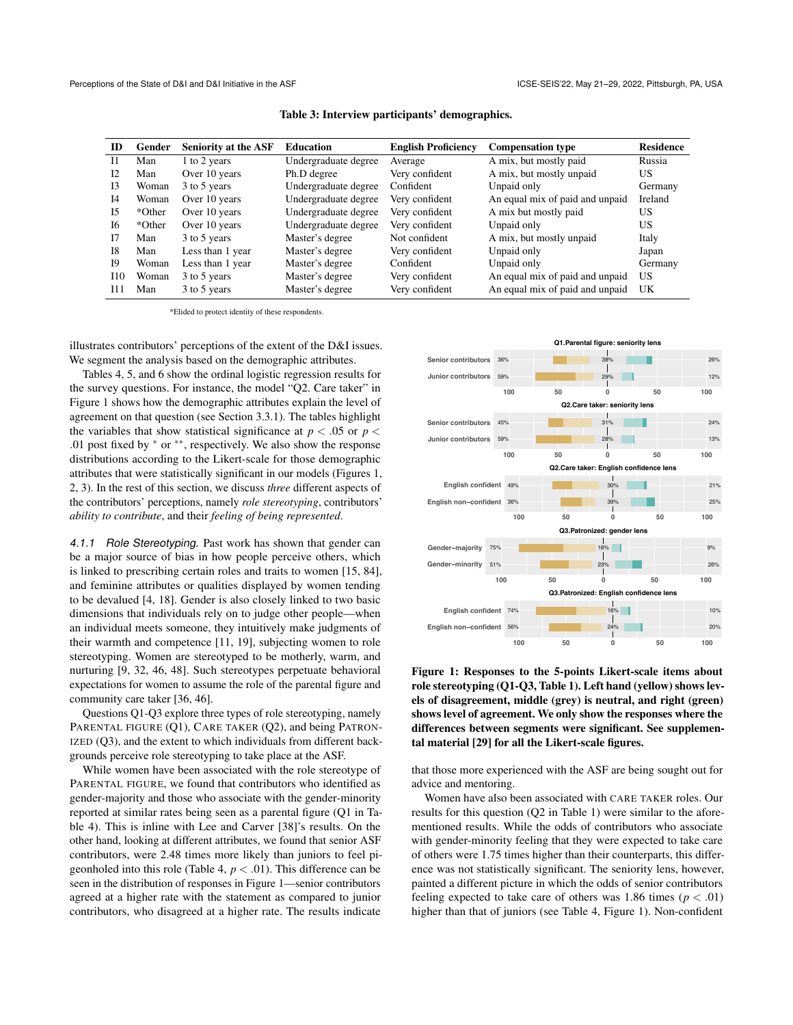<span id="page-4-0"></span>

| ID             | Gender | <b>Seniority at the ASF</b> | <b>Education</b>     | <b>English Proficiency</b> | <b>Compensation type</b>        | <b>Residence</b> |
|----------------|--------|-----------------------------|----------------------|----------------------------|---------------------------------|------------------|
| $_{11}$        | Man    | 1 to 2 years                | Undergraduate degree | Average                    | A mix, but mostly paid          | Russia           |
| 12             | Man    | Over 10 years               | Ph.D degree          | Very confident             | A mix, but mostly unpaid        | US               |
| I <sub>3</sub> | Woman  | 3 to 5 years                | Undergraduate degree | Confident                  | Unpaid only                     | Germany          |
| I <sub>4</sub> | Woman  | Over 10 years               | Undergraduate degree | Very confident             | An equal mix of paid and unpaid | Ireland          |
| I5             | *Other | Over 10 years               | Undergraduate degree | Very confident             | A mix but mostly paid           | US               |
| <b>I6</b>      | *Other | Over 10 years               | Undergraduate degree | Very confident             | Unpaid only                     | US               |
| 17             | Man    | 3 to 5 years                | Master's degree      | Not confident              | A mix, but mostly unpaid        | Italy            |
| <b>I8</b>      | Man    | Less than 1 year            | Master's degree      | Very confident             | Unpaid only                     | Japan            |
| 19             | Woman  | Less than 1 year            | Master's degree      | Confident                  | Unpaid only                     | Germany          |
| I10            | Woman  | 3 to 5 years                | Master's degree      | Very confident             | An equal mix of paid and unpaid | US               |
| I11            | Man    | 3 to 5 years                | Master's degree      | Very confident             | An equal mix of paid and unpaid | UK               |

Table 3: Interview participants' demographics.

\*Elided to protect identity of these respondents.

illustrates contributors' perceptions of the extent of the D&I issues. We segment the analysis based on the demographic attributes.

Tables [4,](#page-5-0) [5,](#page-6-0) and [6](#page-6-1) show the ordinal logistic regression results for the survey questions. For instance, the model "Q2. Care taker" in Figure [1](#page-4-2) shows how the demographic attributes explain the level of agreement on that question (see Section [3.3.1\)](#page-2-0). The tables highlight the variables that show statistical significance at  $p < .05$  or  $p <$ .01 post fixed by <sup>∗</sup> or ∗∗, respectively. We also show the response distributions according to the Likert-scale for those demographic attributes that were statistically significant in our models (Figures [1,](#page-4-2) [2,](#page-5-1) [3\)](#page-6-3). In the rest of this section, we discuss *three* different aspects of the contributors' perceptions, namely *role stereotyping*, contributors' *ability to contribute*, and their *feeling of being represented*.

<span id="page-4-1"></span>4.1.1 Role Stereotyping. Past work has shown that gender can be a major source of bias in how people perceive others, which is linked to prescribing certain roles and traits to women [\[15,](#page-10-12) [84\]](#page-12-7), and feminine attributes or qualities displayed by women tending to be devalued [\[4,](#page-10-13) [18\]](#page-10-14). Gender is also closely linked to two basic dimensions that individuals rely on to judge other people—when an individual meets someone, they intuitively make judgments of their warmth and competence [\[11,](#page-10-15) [19\]](#page-10-16), subjecting women to role stereotyping. Women are stereotyped to be motherly, warm, and nurturing [\[9,](#page-10-17) [32,](#page-11-25) [46,](#page-11-26) [48\]](#page-11-27). Such stereotypes perpetuate behavioral expectations for women to assume the role of the parental figure and community care taker [\[36,](#page-11-28) [46\]](#page-11-26).

Questions Q1-Q3 explore three types of role stereotyping, namely PARENTAL FIGURE (Q1), CARE TAKER (Q2), and being PATRON-IZED (Q3), and the extent to which individuals from different backgrounds perceive role stereotyping to take place at the ASF.

While women have been associated with the role stereotype of PARENTAL FIGURE, we found that contributors who identified as gender-majority and those who associate with the gender-minority reported at similar rates being seen as a parental figure (Q1 in Table [4\)](#page-5-0). This is inline with Lee and Carver [\[38\]](#page-11-5)'s results. On the other hand, looking at different attributes, we found that senior ASF contributors, were 2.48 times more likely than juniors to feel pigeonholed into this role (Table [4,](#page-5-0) *p* < .01). This difference can be seen in the distribution of responses in Figure [1—](#page-4-2)senior contributors agreed at a higher rate with the statement as compared to junior contributors, who disagreed at a higher rate. The results indicate

<span id="page-4-2"></span>

Figure 1: Responses to the 5-points Likert-scale items about role stereotyping (Q1-Q3, Table [1\)](#page-3-1). Left hand (yellow) shows levels of disagreement, middle (grey) is neutral, and right (green) shows level of agreement. We only show the responses where the differences between segments were significant. See supplemental material [\[29\]](#page-11-23) for all the Likert-scale figures.

that those more experienced with the ASF are being sought out for advice and mentoring.

Women have also been associated with CARE TAKER roles. Our results for this question (Q2 in Table [1\)](#page-3-1) were similar to the aforementioned results. While the odds of contributors who associate with gender-minority feeling that they were expected to take care of others were 1.75 times higher than their counterparts, this difference was not statistically significant. The seniority lens, however, painted a different picture in which the odds of senior contributors feeling expected to take care of others was 1.86 times ( $p < .01$ ) higher than that of juniors (see Table [4,](#page-5-0) Figure [1\)](#page-4-2). Non-confident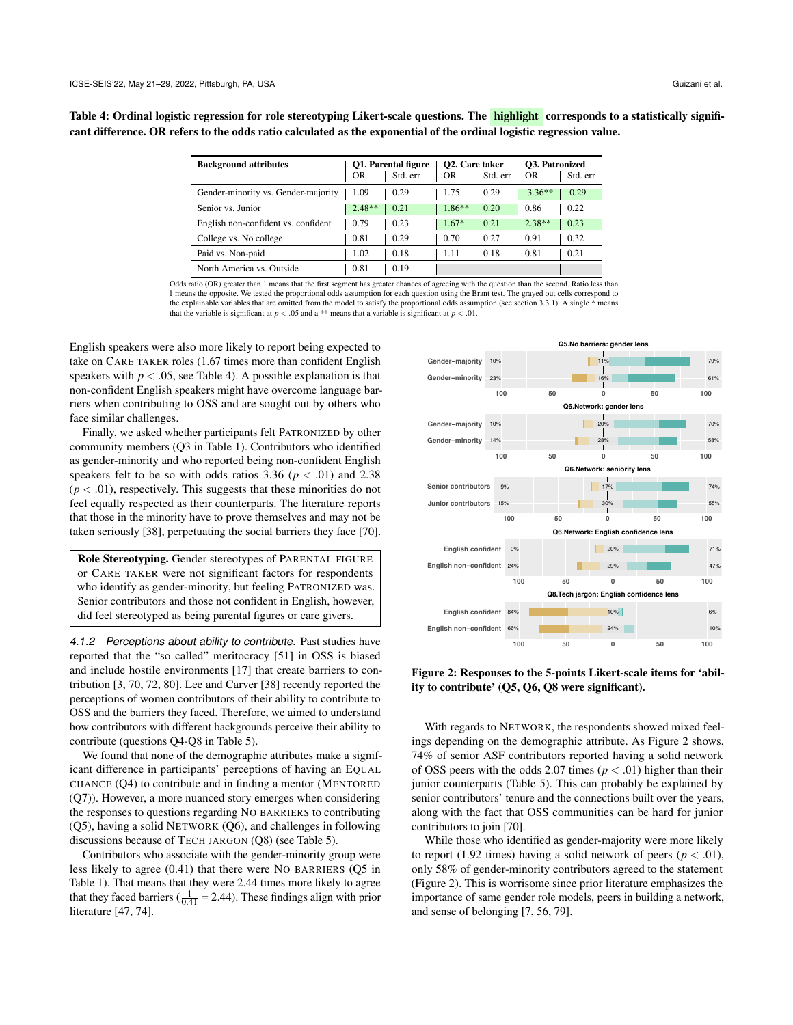<span id="page-5-0"></span>Table 4: Ordinal logistic regression for role stereotyping Likert-scale questions. The **highlight** corresponds to a statistically significant difference. OR refers to the odds ratio calculated as the exponential of the ordinal logistic regression value.

| <b>Background attributes</b>        |          | <b>O1. Parental figure</b> | O <sub>2</sub> . Care taker |          | <b>O3. Patronized</b> |          |  |
|-------------------------------------|----------|----------------------------|-----------------------------|----------|-----------------------|----------|--|
|                                     | OR       | Std. err                   | OR                          | Std. err | OR                    | Std. err |  |
| Gender-minority vs. Gender-majority | 1.09     | 0.29                       | 1.75                        | 0.29     | $3.36**$              | 0.29     |  |
| Senior vs. Junior                   | $2.48**$ | 0.21                       | $1.86**$                    | 0.20     | 0.86                  | 0.22     |  |
| English non-confident vs. confident | 0.79     | 0.23                       | $1.67*$                     | 0.21     | $2.38**$              | 0.23     |  |
| College vs. No college              | 0.81     | 0.29                       | 0.70                        | 0.27     | 0.91                  | 0.32     |  |
| Paid vs. Non-paid                   | 1.02     | 0.18                       | 1.11                        | 0.18     | 0.81                  | 0.21     |  |
| North America vs. Outside           | 0.81     | 0.19                       |                             |          |                       |          |  |

Odds ratio (OR) greater than 1 means that the first segment has greater chances of agreeing with the question than the second. Ratio less than 1 means the opposite. We tested the proportional odds assumption for each question using the Brant test. The grayed out cells correspond to the explainable variables that are omitted from the model to satisfy the proportional odds assumption (see section [3.3.1\)](#page-2-0). A single \* means that the variable is significant at  $p < .05$  and a \*\* means that a variable is significant at  $p < .01$ .

English speakers were also more likely to report being expected to take on CARE TAKER roles (1.67 times more than confident English speakers with  $p < .05$ , see Table [4\)](#page-5-0). A possible explanation is that non-confident English speakers might have overcome language barriers when contributing to OSS and are sought out by others who face similar challenges.

Finally, we asked whether participants felt PATRONIZED by other community members (Q3 in Table [1\)](#page-3-1). Contributors who identified as gender-minority and who reported being non-confident English speakers felt to be so with odds ratios  $3.36$  ( $p < .01$ ) and  $2.38$  $(p < .01)$ , respectively. This suggests that these minorities do not feel equally respected as their counterparts. The literature reports that those in the minority have to prove themselves and may not be taken seriously [\[38\]](#page-11-5), perpetuating the social barriers they face [\[70\]](#page-11-29).

Role Stereotyping. Gender stereotypes of PARENTAL FIGURE or CARE TAKER were not significant factors for respondents who identify as gender-minority, but feeling PATRONIZED was. Senior contributors and those not confident in English, however, did feel stereotyped as being parental figures or care givers.

4.1.2 Perceptions about ability to contribute. Past studies have reported that the "so called" meritocracy [\[51\]](#page-11-7) in OSS is biased and include hostile environments [\[17\]](#page-10-18) that create barriers to contribution [\[3,](#page-10-19) [70,](#page-11-29) [72,](#page-11-30) [80\]](#page-12-4). Lee and Carver [\[38\]](#page-11-5) recently reported the perceptions of women contributors of their ability to contribute to OSS and the barriers they faced. Therefore, we aimed to understand how contributors with different backgrounds perceive their ability to contribute (questions Q4-Q8 in Table [5\)](#page-6-0).

We found that none of the demographic attributes make a significant difference in participants' perceptions of having an EQUAL CHANCE (Q4) to contribute and in finding a mentor (MENTORED (Q7)). However, a more nuanced story emerges when considering the responses to questions regarding NO BARRIERS to contributing (Q5), having a solid NETWORK (Q6), and challenges in following discussions because of TECH JARGON (Q8) (see Table [5\)](#page-6-0).

Contributors who associate with the gender-minority group were less likely to agree (0.41) that there were NO BARRIERS (Q5 in Table [1\)](#page-3-1). That means that they were 2.44 times more likely to agree that they faced barriers ( $\frac{1}{0.41}$  = 2.44). These findings align with prior literature [\[47,](#page-11-6) [74\]](#page-12-6).

<span id="page-5-1"></span>

Figure 2: Responses to the 5-points Likert-scale items for 'ability to contribute' (Q5, Q6, Q8 were significant).

With regards to NETWORK, the respondents showed mixed feelings depending on the demographic attribute. As Figure [2](#page-5-1) shows, 74% of senior ASF contributors reported having a solid network of OSS peers with the odds 2.07 times ( $p < .01$ ) higher than their junior counterparts (Table [5\)](#page-6-0). This can probably be explained by senior contributors' tenure and the connections built over the years, along with the fact that OSS communities can be hard for junior contributors to join [\[70\]](#page-11-29).

While those who identified as gender-majority were more likely to report (1.92 times) having a solid network of peers ( $p < .01$ ), only 58% of gender-minority contributors agreed to the statement (Figure [2\)](#page-5-1). This is worrisome since prior literature emphasizes the importance of same gender role models, peers in building a network, and sense of belonging [\[7,](#page-10-20) [56,](#page-11-31) [79\]](#page-12-1).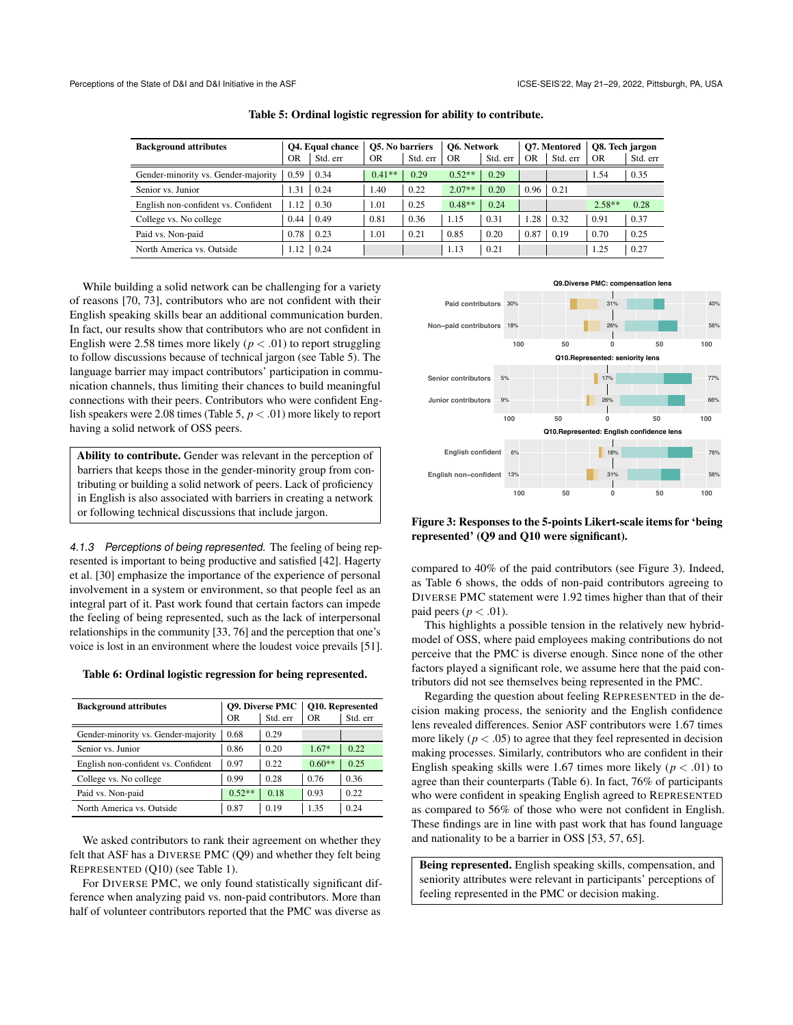<span id="page-6-0"></span>

| <b>Background attributes</b>        |      | <b>O4.</b> Equal chance |          | <b>O5. No barriers</b> |          | <b>O6. Network</b> |                | <b>O7. Mentored</b> |          | O8. Tech jargon |  |
|-------------------------------------|------|-------------------------|----------|------------------------|----------|--------------------|----------------|---------------------|----------|-----------------|--|
|                                     | OR   | Std. err                | OR       | Std. err               | OR       | Std. err           | 0 <sub>R</sub> | Std. err            | OR       | Std. err        |  |
| Gender-minority vs. Gender-majority | 0.59 | 0.34                    | $0.41**$ | 0.29                   | $0.52**$ | 0.29               |                |                     | 1.54     | 0.35            |  |
| Senior vs. Junior                   | . 31 | 0.24                    | 1.40     | 0.22                   | $2.07**$ | 0.20               | 0.96           | 0.21                |          |                 |  |
| English non-confident vs. Confident | 1.12 | 0.30                    | 1.01     | 0.25                   | $0.48**$ | 0.24               |                |                     | $2.58**$ | 0.28            |  |
| College vs. No college              | 0.44 | 0.49                    | 0.81     | 0.36                   | 1.15     | 0.31               | .28            | 0.32                | 0.91     | 0.37            |  |
| Paid vs. Non-paid                   | 0.78 | 0.23                    | 1.01     | 0.21                   | 0.85     | 0.20               | 0.87           | 0.19                | 0.70     | 0.25            |  |
| North America vs. Outside           | .12  | 0.24                    |          |                        | 1.13     | 0.21               |                |                     | 1.25     | 0.27            |  |

Table 5: Ordinal logistic regression for ability to contribute.

While building a solid network can be challenging for a variety of reasons [\[70,](#page-11-29) [73\]](#page-12-8), contributors who are not confident with their English speaking skills bear an additional communication burden. In fact, our results show that contributors who are not confident in English were 2.58 times more likely ( $p < .01$ ) to report struggling to follow discussions because of technical jargon (see Table [5\)](#page-6-0). The language barrier may impact contributors' participation in communication channels, thus limiting their chances to build meaningful connections with their peers. Contributors who were confident English speakers were 2.08 times (Table [5,](#page-6-0) *p* < .01) more likely to report having a solid network of OSS peers.

Ability to contribute. Gender was relevant in the perception of barriers that keeps those in the gender-minority group from contributing or building a solid network of peers. Lack of proficiency in English is also associated with barriers in creating a network or following technical discussions that include jargon.

<span id="page-6-2"></span>4.1.3 Perceptions of being represented. The feeling of being represented is important to being productive and satisfied [\[42\]](#page-11-32). Hagerty et al. [\[30\]](#page-11-33) emphasize the importance of the experience of personal involvement in a system or environment, so that people feel as an integral part of it. Past work found that certain factors can impede the feeling of being represented, such as the lack of interpersonal relationships in the community [\[33,](#page-11-34) [76\]](#page-12-9) and the perception that one's voice is lost in an environment where the loudest voice prevails [\[51\]](#page-11-7).

<span id="page-6-1"></span>Table 6: Ordinal logistic regression for being represented.

| <b>Background attributes</b>        |          | <b>O9. Diverse PMC</b> | <b>O10. Represented</b> |          |  |
|-------------------------------------|----------|------------------------|-------------------------|----------|--|
|                                     | OR       | Std. err               | ΟR                      | Std. err |  |
| Gender-minority vs. Gender-majority | 0.68     | 0.29                   |                         |          |  |
| Senior vs. Junior                   | 0.86     | 0.20                   | $1.67*$                 | 0.22     |  |
| English non-confident vs. Confident | 0.97     | 0.22                   | $0.60**$                | 0.25     |  |
| College vs. No college              | 0.99     | 0.28                   | 0.76                    | 0.36     |  |
| Paid vs. Non-paid                   | $0.52**$ | 0.18                   | 0.93                    | 0.22     |  |
| North America vs. Outside           | 0.87     | 0.19                   | 1.35                    | 0.24     |  |

We asked contributors to rank their agreement on whether they felt that ASF has a DIVERSE PMC (Q9) and whether they felt being REPRESENTED (Q10) (see Table [1\)](#page-3-1).

For DIVERSE PMC, we only found statistically significant difference when analyzing paid vs. non-paid contributors. More than half of volunteer contributors reported that the PMC was diverse as

<span id="page-6-3"></span>

Figure 3: Responses to the 5-points Likert-scale items for 'being represented' (Q9 and Q10 were significant).

compared to 40% of the paid contributors (see Figure [3\)](#page-6-3). Indeed, as Table [6](#page-6-1) shows, the odds of non-paid contributors agreeing to DIVERSE PMC statement were 1.92 times higher than that of their paid peers ( $p < .01$ ).

This highlights a possible tension in the relatively new hybridmodel of OSS, where paid employees making contributions do not perceive that the PMC is diverse enough. Since none of the other factors played a significant role, we assume here that the paid contributors did not see themselves being represented in the PMC.

Regarding the question about feeling REPRESENTED in the decision making process, the seniority and the English confidence lens revealed differences. Senior ASF contributors were 1.67 times more likely  $(p < .05)$  to agree that they feel represented in decision making processes. Similarly, contributors who are confident in their English speaking skills were 1.67 times more likely ( $p < .01$ ) to agree than their counterparts (Table [6\)](#page-6-1). In fact, 76% of participants who were confident in speaking English agreed to REPRESENTED as compared to 56% of those who were not confident in English. These findings are in line with past work that has found language and nationality to be a barrier in OSS [\[53,](#page-11-13) [57,](#page-11-8) [65\]](#page-11-4).

Being represented. English speaking skills, compensation, and seniority attributes were relevant in participants' perceptions of feeling represented in the PMC or decision making.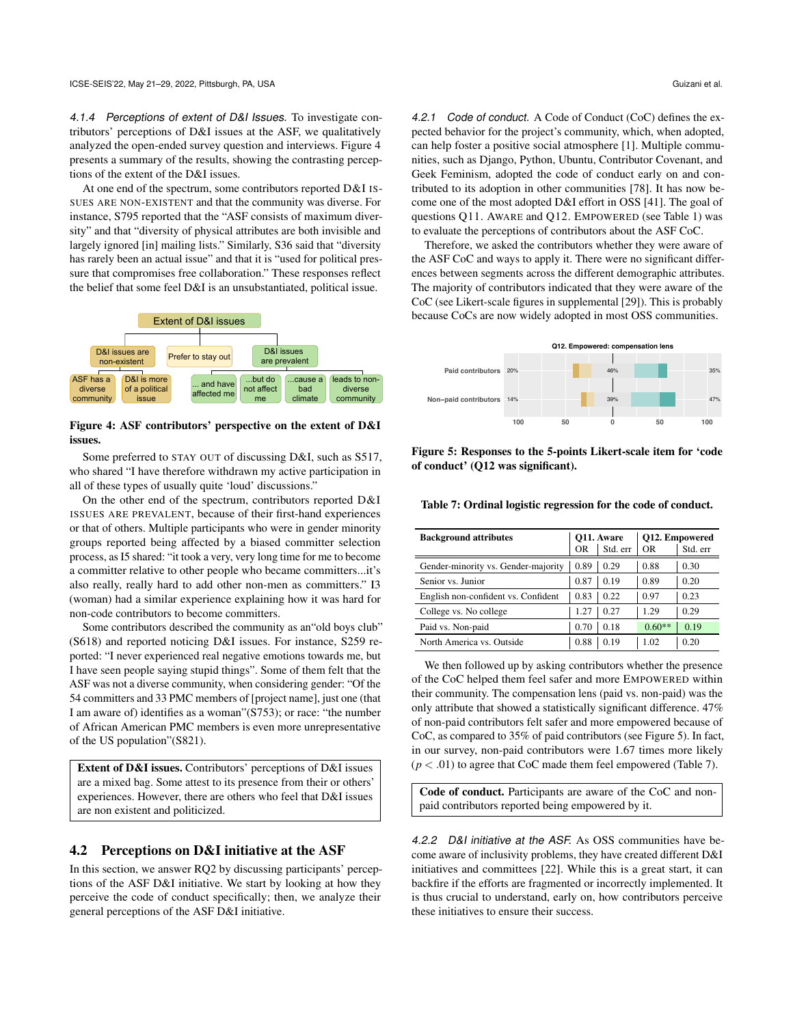<span id="page-7-1"></span>4.1.4 Perceptions of extent of D&I Issues. To investigate contributors' perceptions of D&I issues at the ASF, we qualitatively analyzed the open-ended survey question and interviews. Figure [4](#page-7-2) presents a summary of the results, showing the contrasting perceptions of the extent of the D&I issues.

At one end of the spectrum, some contributors reported D&I IS-SUES ARE NON-EXISTENT and that the community was diverse. For instance, S795 reported that the "ASF consists of maximum diversity" and that "diversity of physical attributes are both invisible and largely ignored [in] mailing lists." Similarly, S36 said that "diversity has rarely been an actual issue" and that it is "used for political pressure that compromises free collaboration." These responses reflect the belief that some feel D&I is an unsubstantiated, political issue.

<span id="page-7-2"></span>

#### Figure 4: ASF contributors' perspective on the extent of D&I issues.

Some preferred to STAY OUT of discussing D&I, such as S517, who shared "I have therefore withdrawn my active participation in all of these types of usually quite 'loud' discussions."

On the other end of the spectrum, contributors reported D&I ISSUES ARE PREVALENT, because of their first-hand experiences or that of others. Multiple participants who were in gender minority groups reported being affected by a biased committer selection process, as I5 shared: "it took a very, very long time for me to become a committer relative to other people who became committers...it's also really, really hard to add other non-men as committers." I3 (woman) had a similar experience explaining how it was hard for non-code contributors to become committers.

Some contributors described the community as an"old boys club" (S618) and reported noticing D&I issues. For instance, S259 reported: "I never experienced real negative emotions towards me, but I have seen people saying stupid things". Some of them felt that the ASF was not a diverse community, when considering gender: "Of the 54 committers and 33 PMC members of [project name], just one (that I am aware of) identifies as a woman"(S753); or race: "the number of African American PMC members is even more unrepresentative of the US population"(S821).

Extent of D&I issues. Contributors' perceptions of D&I issues are a mixed bag. Some attest to its presence from their or others' experiences. However, there are others who feel that D&I issues are non existent and politicized.

#### <span id="page-7-0"></span>4.2 Perceptions on D&I initiative at the ASF

In this section, we answer RQ2 by discussing participants' perceptions of the ASF D&I initiative. We start by looking at how they perceive the code of conduct specifically; then, we analyze their general perceptions of the ASF D&I initiative.

4.2.1 Code of conduct. A Code of Conduct (CoC) defines the expected behavior for the project's community, which, when adopted, can help foster a positive social atmosphere [\[1\]](#page-10-21). Multiple communities, such as Django, Python, Ubuntu, Contributor Covenant, and Geek Feminism, adopted the code of conduct early on and contributed to its adoption in other communities [\[78\]](#page-12-10). It has now become one of the most adopted D&I effort in OSS [\[41\]](#page-11-35). The goal of questions Q11. AWARE and Q12. EMPOWERED (see Table [1\)](#page-3-1) was to evaluate the perceptions of contributors about the ASF CoC.

Therefore, we asked the contributors whether they were aware of the ASF CoC and ways to apply it. There were no significant differences between segments across the different demographic attributes. The majority of contributors indicated that they were aware of the CoC (see Likert-scale figures in supplemental [\[29\]](#page-11-23)). This is probably because CoCs are now widely adopted in most OSS communities.

<span id="page-7-3"></span>

Figure 5: Responses to the 5-points Likert-scale item for 'code of conduct' (Q12 was significant).

<span id="page-7-4"></span>Table 7: Ordinal logistic regression for the code of conduct.

| <b>Background attributes</b>        |      | O11. Aware | <b>O12. Empowered</b> |          |  |
|-------------------------------------|------|------------|-----------------------|----------|--|
|                                     | OR   | Std. err   | OR                    | Std. err |  |
| Gender-minority vs. Gender-majority | 0.89 | 0.29       | 0.88                  | 0.30     |  |
| Senior vs. Junior                   | 0.87 | 0.19       | 0.89                  | 0.20     |  |
| English non-confident vs. Confident | 0.83 | 0.22       | 0.97                  | 0.23     |  |
| College vs. No college              | 1.27 | 0.27       | 1.29                  | 0.29     |  |
| Paid vs. Non-paid                   | 0.70 | 0.18       | $0.60**$              | 0.19     |  |
| North America vs. Outside           | 0.88 | 0.19       | 1.02                  | 0.20     |  |

We then followed up by asking contributors whether the presence of the CoC helped them feel safer and more EMPOWERED within their community. The compensation lens (paid vs. non-paid) was the only attribute that showed a statistically significant difference. 47% of non-paid contributors felt safer and more empowered because of CoC, as compared to 35% of paid contributors (see Figure [5\)](#page-7-3). In fact, in our survey, non-paid contributors were 1.67 times more likely  $(p < .01)$  to agree that CoC made them feel empowered (Table [7\)](#page-7-4).

Code of conduct. Participants are aware of the CoC and nonpaid contributors reported being empowered by it.

<span id="page-7-5"></span>4.2.2 D&I initiative at the ASF. As OSS communities have become aware of inclusivity problems, they have created different D&I initiatives and committees [\[22\]](#page-10-7). While this is a great start, it can backfire if the efforts are fragmented or incorrectly implemented. It is thus crucial to understand, early on, how contributors perceive these initiatives to ensure their success.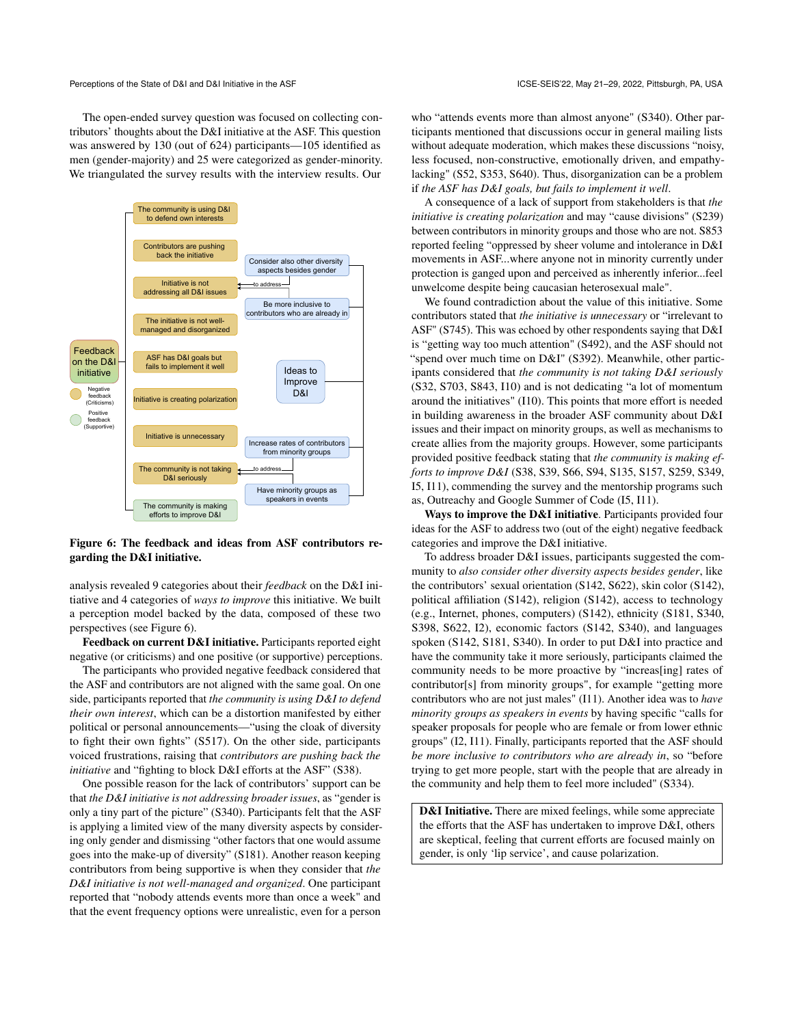The open-ended survey question was focused on collecting contributors' thoughts about the D&I initiative at the ASF. This question was answered by 130 (out of 624) participants—105 identified as men (gender-majority) and 25 were categorized as gender-minority. We triangulated the survey results with the interview results. Our

<span id="page-8-0"></span>

Figure 6: The feedback and ideas from ASF contributors regarding the D&I initiative.

analysis revealed 9 categories about their *feedback* on the D&I initiative and 4 categories of *ways to improve* this initiative. We built a perception model backed by the data, composed of these two perspectives (see Figure [6\)](#page-8-0).

Feedback on current D&I initiative. Participants reported eight negative (or criticisms) and one positive (or supportive) perceptions.

The participants who provided negative feedback considered that the ASF and contributors are not aligned with the same goal. On one side, participants reported that *the community is using D&I to defend their own interest*, which can be a distortion manifested by either political or personal announcements—"using the cloak of diversity to fight their own fights" (S517). On the other side, participants voiced frustrations, raising that *contributors are pushing back the initiative* and "fighting to block D&I efforts at the ASF" (S38).

One possible reason for the lack of contributors' support can be that *the D&I initiative is not addressing broader issues*, as "gender is only a tiny part of the picture" (S340). Participants felt that the ASF is applying a limited view of the many diversity aspects by considering only gender and dismissing "other factors that one would assume goes into the make-up of diversity" (S181). Another reason keeping contributors from being supportive is when they consider that *the D&I initiative is not well-managed and organized*. One participant reported that "nobody attends events more than once a week" and that the event frequency options were unrealistic, even for a person

who "attends events more than almost anyone" (S340). Other participants mentioned that discussions occur in general mailing lists without adequate moderation, which makes these discussions "noisy, less focused, non-constructive, emotionally driven, and empathylacking" (S52, S353, S640). Thus, disorganization can be a problem if *the ASF has D&I goals, but fails to implement it well*.

A consequence of a lack of support from stakeholders is that *the initiative is creating polarization* and may "cause divisions" (S239) between contributors in minority groups and those who are not. S853 reported feeling "oppressed by sheer volume and intolerance in D&I movements in ASF...where anyone not in minority currently under protection is ganged upon and perceived as inherently inferior...feel unwelcome despite being caucasian heterosexual male".

We found contradiction about the value of this initiative. Some contributors stated that *the initiative is unnecessary* or "irrelevant to ASF" (S745). This was echoed by other respondents saying that D&I is "getting way too much attention" (S492), and the ASF should not "spend over much time on D&I" (S392). Meanwhile, other participants considered that *the community is not taking D&I seriously* (S32, S703, S843, I10) and is not dedicating "a lot of momentum around the initiatives" (I10). This points that more effort is needed in building awareness in the broader ASF community about D&I issues and their impact on minority groups, as well as mechanisms to create allies from the majority groups. However, some participants provided positive feedback stating that *the community is making efforts to improve D&I* (S38, S39, S66, S94, S135, S157, S259, S349, I5, I11), commending the survey and the mentorship programs such as, Outreachy and Google Summer of Code (I5, I11).

Ways to improve the D&I initiative. Participants provided four ideas for the ASF to address two (out of the eight) negative feedback categories and improve the D&I initiative.

To address broader D&I issues, participants suggested the community to *also consider other diversity aspects besides gender*, like the contributors' sexual orientation (S142, S622), skin color (S142), political affiliation (S142), religion (S142), access to technology (e.g., Internet, phones, computers) (S142), ethnicity (S181, S340, S398, S622, I2), economic factors (S142, S340), and languages spoken (S142, S181, S340). In order to put D&I into practice and have the community take it more seriously, participants claimed the community needs to be more proactive by "increas[ing] rates of contributor[s] from minority groups", for example "getting more contributors who are not just males" (I11). Another idea was to *have minority groups as speakers in events* by having specific "calls for speaker proposals for people who are female or from lower ethnic groups" (I2, I11). Finally, participants reported that the ASF should *be more inclusive to contributors who are already in*, so "before trying to get more people, start with the people that are already in the community and help them to feel more included" (S334).

D&I Initiative. There are mixed feelings, while some appreciate the efforts that the ASF has undertaken to improve D&I, others are skeptical, feeling that current efforts are focused mainly on gender, is only 'lip service', and cause polarization.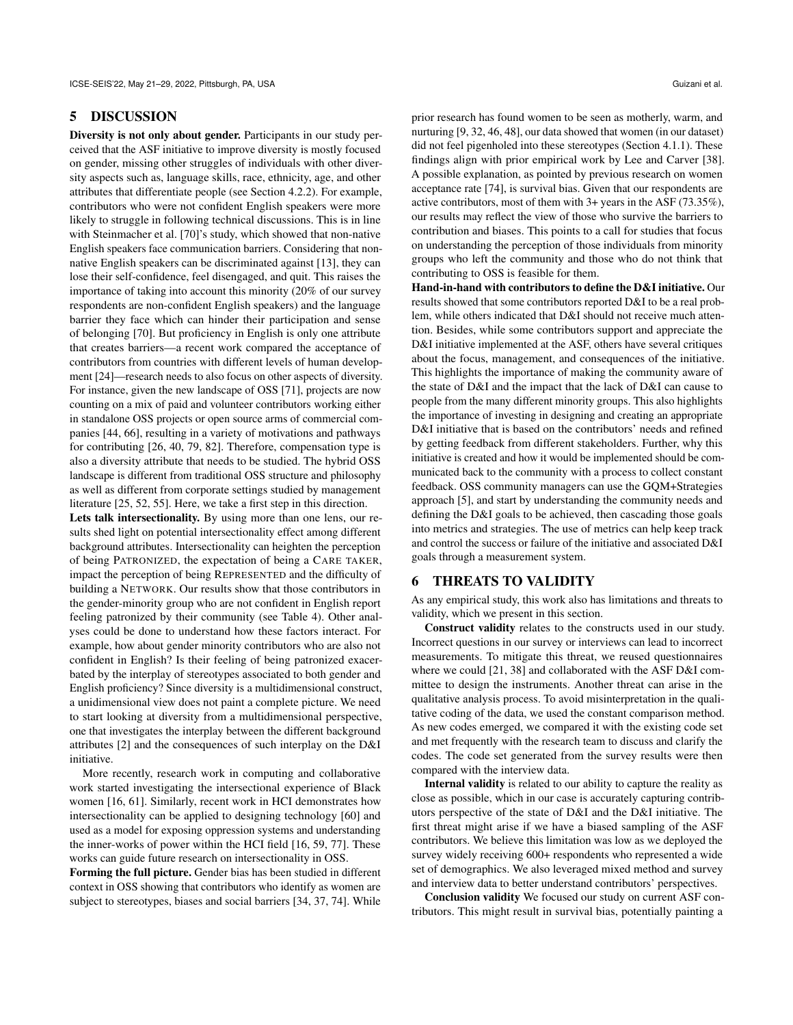#### 5 DISCUSSION

Diversity is not only about gender. Participants in our study perceived that the ASF initiative to improve diversity is mostly focused on gender, missing other struggles of individuals with other diversity aspects such as, language skills, race, ethnicity, age, and other attributes that differentiate people (see Section [4.2.2\)](#page-7-5). For example, contributors who were not confident English speakers were more likely to struggle in following technical discussions. This is in line with Steinmacher et al. [\[70\]](#page-11-29)'s study, which showed that non-native English speakers face communication barriers. Considering that nonnative English speakers can be discriminated against [\[13\]](#page-10-5), they can lose their self-confidence, feel disengaged, and quit. This raises the importance of taking into account this minority (20% of our survey respondents are non-confident English speakers) and the language barrier they face which can hinder their participation and sense of belonging [\[70\]](#page-11-29). But proficiency in English is only one attribute that creates barriers—a recent work compared the acceptance of contributors from countries with different levels of human development [\[24\]](#page-10-4)—research needs to also focus on other aspects of diversity. For instance, given the new landscape of OSS [\[71\]](#page-11-15), projects are now counting on a mix of paid and volunteer contributors working either in standalone OSS projects or open source arms of commercial companies [\[44,](#page-11-36) [66\]](#page-11-37), resulting in a variety of motivations and pathways for contributing [\[26,](#page-10-0) [40,](#page-11-38) [79,](#page-12-1) [82\]](#page-12-11). Therefore, compensation type is also a diversity attribute that needs to be studied. The hybrid OSS landscape is different from traditional OSS structure and philosophy as well as different from corporate settings studied by management literature [\[25,](#page-10-22) [52,](#page-11-39) [55\]](#page-11-40). Here, we take a first step in this direction.

Lets talk intersectionality. By using more than one lens, our results shed light on potential intersectionality effect among different background attributes. Intersectionality can heighten the perception of being PATRONIZED, the expectation of being a CARE TAKER, impact the perception of being REPRESENTED and the difficulty of building a NETWORK. Our results show that those contributors in the gender-minority group who are not confident in English report feeling patronized by their community (see Table [4\)](#page-5-0). Other analyses could be done to understand how these factors interact. For example, how about gender minority contributors who are also not confident in English? Is their feeling of being patronized exacerbated by the interplay of stereotypes associated to both gender and English proficiency? Since diversity is a multidimensional construct, a unidimensional view does not paint a complete picture. We need to start looking at diversity from a multidimensional perspective, one that investigates the interplay between the different background attributes [\[2\]](#page-10-23) and the consequences of such interplay on the D&I initiative.

More recently, research work in computing and collaborative work started investigating the intersectional experience of Black women [\[16,](#page-10-24) [61\]](#page-11-41). Similarly, recent work in HCI demonstrates how intersectionality can be applied to designing technology [\[60\]](#page-11-42) and used as a model for exposing oppression systems and understanding the inner-works of power within the HCI field [\[16,](#page-10-24) [59,](#page-11-43) [77\]](#page-12-12). These works can guide future research on intersectionality in OSS.

Forming the full picture. Gender bias has been studied in different context in OSS showing that contributors who identify as women are subject to stereotypes, biases and social barriers [\[34,](#page-11-44) [37,](#page-11-45) [74\]](#page-12-6). While prior research has found women to be seen as motherly, warm, and nurturing [\[9,](#page-10-17) [32,](#page-11-25) [46,](#page-11-26) [48\]](#page-11-27), our data showed that women (in our dataset) did not feel pigenholed into these stereotypes (Section [4.1.1\)](#page-4-1). These findings align with prior empirical work by Lee and Carver [\[38\]](#page-11-5). A possible explanation, as pointed by previous research on women acceptance rate [\[74\]](#page-12-6), is survival bias. Given that our respondents are active contributors, most of them with 3+ years in the ASF (73.35%), our results may reflect the view of those who survive the barriers to contribution and biases. This points to a call for studies that focus on understanding the perception of those individuals from minority groups who left the community and those who do not think that contributing to OSS is feasible for them.

Hand-in-hand with contributors to define the D&I initiative. Our results showed that some contributors reported D&I to be a real problem, while others indicated that D&I should not receive much attention. Besides, while some contributors support and appreciate the D&I initiative implemented at the ASF, others have several critiques about the focus, management, and consequences of the initiative. This highlights the importance of making the community aware of the state of D&I and the impact that the lack of D&I can cause to people from the many different minority groups. This also highlights the importance of investing in designing and creating an appropriate D&I initiative that is based on the contributors' needs and refined by getting feedback from different stakeholders. Further, why this initiative is created and how it would be implemented should be communicated back to the community with a process to collect constant feedback. OSS community managers can use the GQM+Strategies approach [\[5\]](#page-10-25), and start by understanding the community needs and defining the D&I goals to be achieved, then cascading those goals into metrics and strategies. The use of metrics can help keep track and control the success or failure of the initiative and associated D&I goals through a measurement system.

#### 6 THREATS TO VALIDITY

As any empirical study, this work also has limitations and threats to validity, which we present in this section.

Construct validity relates to the constructs used in our study. Incorrect questions in our survey or interviews can lead to incorrect measurements. To mitigate this threat, we reused questionnaires where we could [\[21,](#page-10-10) [38\]](#page-11-5) and collaborated with the ASF D&I committee to design the instruments. Another threat can arise in the qualitative analysis process. To avoid misinterpretation in the qualitative coding of the data, we used the constant comparison method. As new codes emerged, we compared it with the existing code set and met frequently with the research team to discuss and clarify the codes. The code set generated from the survey results were then compared with the interview data.

Internal validity is related to our ability to capture the reality as close as possible, which in our case is accurately capturing contributors perspective of the state of D&I and the D&I initiative. The first threat might arise if we have a biased sampling of the ASF contributors. We believe this limitation was low as we deployed the survey widely receiving 600+ respondents who represented a wide set of demographics. We also leveraged mixed method and survey and interview data to better understand contributors' perspectives.

Conclusion validity We focused our study on current ASF contributors. This might result in survival bias, potentially painting a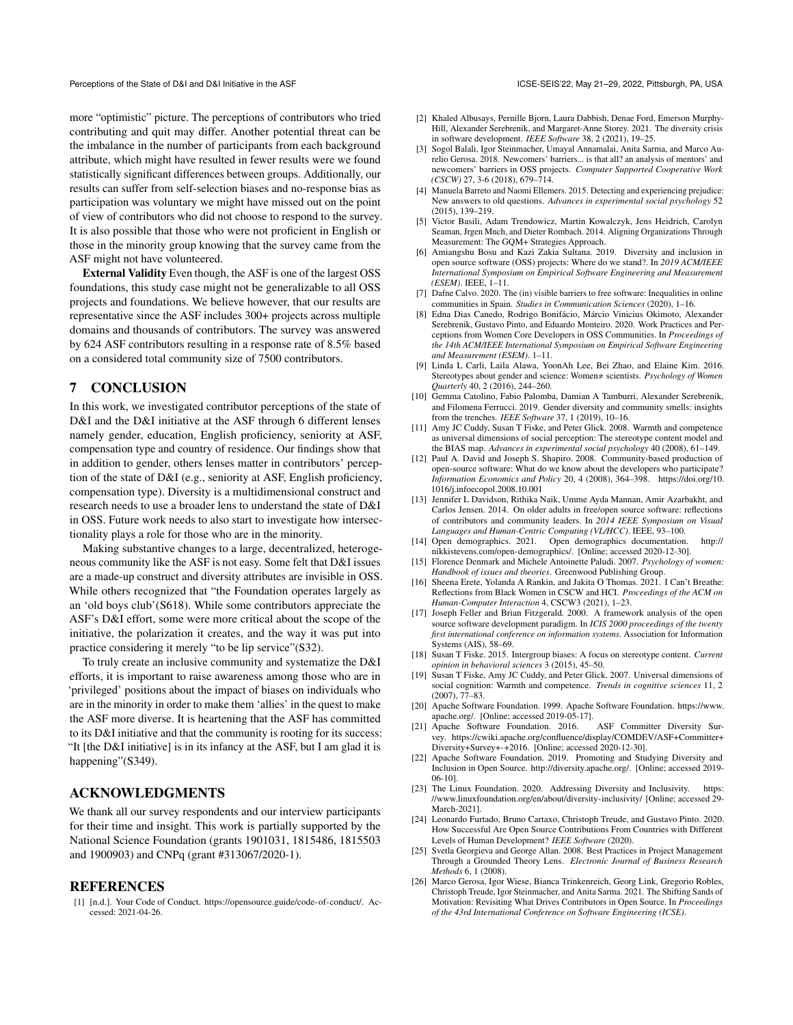more "optimistic" picture. The perceptions of contributors who tried contributing and quit may differ. Another potential threat can be the imbalance in the number of participants from each background attribute, which might have resulted in fewer results were we found statistically significant differences between groups. Additionally, our results can suffer from self-selection biases and no-response bias as participation was voluntary we might have missed out on the point of view of contributors who did not choose to respond to the survey. It is also possible that those who were not proficient in English or those in the minority group knowing that the survey came from the ASF might not have volunteered.

External Validity Even though, the ASF is one of the largest OSS foundations, this study case might not be generalizable to all OSS projects and foundations. We believe however, that our results are representative since the ASF includes 300+ projects across multiple domains and thousands of contributors. The survey was answered by 624 ASF contributors resulting in a response rate of 8.5% based on a considered total community size of 7500 contributors.

#### 7 CONCLUSION

In this work, we investigated contributor perceptions of the state of D&I and the D&I initiative at the ASF through 6 different lenses namely gender, education, English proficiency, seniority at ASF, compensation type and country of residence. Our findings show that in addition to gender, others lenses matter in contributors' perception of the state of D&I (e.g., seniority at ASF, English proficiency, compensation type). Diversity is a multidimensional construct and research needs to use a broader lens to understand the state of D&I in OSS. Future work needs to also start to investigate how intersectionality plays a role for those who are in the minority.

Making substantive changes to a large, decentralized, heterogeneous community like the ASF is not easy. Some felt that D&I issues are a made-up construct and diversity attributes are invisible in OSS. While others recognized that "the Foundation operates largely as an 'old boys club'(S618). While some contributors appreciate the ASF's D&I effort, some were more critical about the scope of the initiative, the polarization it creates, and the way it was put into practice considering it merely "to be lip service"(S32).

To truly create an inclusive community and systematize the D&I efforts, it is important to raise awareness among those who are in 'privileged' positions about the impact of biases on individuals who are in the minority in order to make them 'allies' in the quest to make the ASF more diverse. It is heartening that the ASF has committed to its D&I initiative and that the community is rooting for its success: "It [the D&I initiative] is in its infancy at the ASF, but I am glad it is happening"(S349).

## ACKNOWLEDGMENTS

We thank all our survey respondents and our interview participants for their time and insight. This work is partially supported by the National Science Foundation (grants 1901031, 1815486, 1815503 and 1900903) and CNPq (grant #313067/2020-1).

#### **REFERENCES**

<span id="page-10-21"></span>[1] [n.d.]. Your Code of Conduct. [https://opensource.guide/code-of-conduct/.](https://opensource.guide/code-of-conduct/) Accessed: 2021-04-26.

- <span id="page-10-23"></span>[2] Khaled Albusays, Pernille Bjorn, Laura Dabbish, Denae Ford, Emerson Murphy-Hill, Alexander Serebrenik, and Margaret-Anne Storey. 2021. The diversity crisis in software development. *IEEE Software* 38, 2 (2021), 19–25.
- <span id="page-10-19"></span>[3] Sogol Balali, Igor Steinmacher, Umayal Annamalai, Anita Sarma, and Marco Aurelio Gerosa. 2018. Newcomers' barriers... is that all? an analysis of mentors' and newcomers' barriers in OSS projects. *Computer Supported Cooperative Work (CSCW)* 27, 3-6 (2018), 679–714.
- <span id="page-10-13"></span>[4] Manuela Barreto and Naomi Ellemers. 2015. Detecting and experiencing prejudice: New answers to old questions. *Advances in experimental social psychology* 52 (2015), 139–219.
- <span id="page-10-25"></span>[5] Victor Basili, Adam Trendowicz, Martin Kowalczyk, Jens Heidrich, Carolyn Seaman, Jrgen Mnch, and Dieter Rombach. 2014. Aligning Organizations Through Measurement: The GQM+ Strategies Approach.
- <span id="page-10-1"></span>[6] Amiangshu Bosu and Kazi Zakia Sultana. 2019. Diversity and inclusion in open source software (OSS) projects: Where do we stand?. In *2019 ACM/IEEE International Symposium on Empirical Software Engineering and Measurement (ESEM)*. IEEE, 1–11.
- <span id="page-10-20"></span>[7] Dafne Calvo. 2020. The (in) visible barriers to free software: Inequalities in online communities in Spain. *Studies in Communication Sciences* (2020), 1–16.
- <span id="page-10-3"></span>[8] Edna Dias Canedo, Rodrigo Bonifácio, Márcio Vinicius Okimoto, Alexander Serebrenik, Gustavo Pinto, and Eduardo Monteiro. 2020. Work Practices and Perceptions from Women Core Developers in OSS Communities. In *Proceedings of the 14th ACM/IEEE International Symposium on Empirical Software Engineering and Measurement (ESEM)*. 1–11.
- <span id="page-10-17"></span>[9] Linda L Carli, Laila Alawa, YoonAh Lee, Bei Zhao, and Elaine Kim. 2016. Stereotypes about gender and science: Women $\neq$  scientists. *Psychology of Women Quarterly* 40, 2 (2016), 244–260.
- <span id="page-10-8"></span>[10] Gemma Catolino, Fabio Palomba, Damian A Tamburri, Alexander Serebrenik, and Filomena Ferrucci. 2019. Gender diversity and community smells: insights from the trenches. *IEEE Software* 37, 1 (2019), 10–16.
- <span id="page-10-15"></span>[11] Amy JC Cuddy, Susan T Fiske, and Peter Glick. 2008. Warmth and competence as universal dimensions of social perception: The stereotype content model and the BIAS map. *Advances in experimental social psychology* 40 (2008), 61–149.
- <span id="page-10-2"></span>[12] Paul A. David and Joseph S. Shapiro. 2008. Community-based production of open-source software: What do we know about the developers who participate? *Information Economics and Policy* 20, 4 (2008), 364–398. [https://doi.org/10.](https://doi.org/10.1016/j.infoecopol.2008.10.001) [1016/j.infoecopol.2008.10.001](https://doi.org/10.1016/j.infoecopol.2008.10.001)
- <span id="page-10-5"></span>[13] Jennifer L Davidson, Rithika Naik, Umme Ayda Mannan, Amir Azarbakht, and Carlos Jensen. 2014. On older adults in free/open source software: reflections of contributors and community leaders. In *2014 IEEE Symposium on Visual Languages and Human-Centric Computing (VL/HCC)*. IEEE, 93–100.
- <span id="page-10-11"></span>[14] Open demographics. 2021. Open demographics documentation. [http://](http://nikkistevens.com/open-demographics/) [nikkistevens.com/open-demographics/.](http://nikkistevens.com/open-demographics/) [Online; accessed 2020-12-30].
- <span id="page-10-12"></span>[15] Florence Denmark and Michele Antoinette Paludi. 2007. *Psychology of women: Handbook of issues and theories*. Greenwood Publishing Group.
- <span id="page-10-24"></span>[16] Sheena Erete, Yolanda A Rankin, and Jakita O Thomas. 2021. I Can't Breathe: Reflections from Black Women in CSCW and HCI. *Proceedings of the ACM on Human-Computer Interaction* 4, CSCW3 (2021), 1–23.
- <span id="page-10-18"></span>[17] Joseph Feller and Brian Fitzgerald. 2000. A framework analysis of the open source software development paradigm. In *ICIS 2000 proceedings of the twenty first international conference on information systems*. Association for Information Systems (AIS), 58–69.
- <span id="page-10-14"></span>[18] Susan T Fiske. 2015. Intergroup biases: A focus on stereotype content. *Current opinion in behavioral sciences* 3 (2015), 45–50.
- <span id="page-10-16"></span>[19] Susan T Fiske, Amy JC Cuddy, and Peter Glick. 2007. Universal dimensions of social cognition: Warmth and competence. *Trends in cognitive sciences* 11, 2 (2007), 77–83.
- <span id="page-10-9"></span>[20] Apache Software Foundation. 1999. Apache Software Foundation. [https://www.](https://www.apache.org/) [apache.org/.](https://www.apache.org/) [Online; accessed 2019-05-17].
- <span id="page-10-10"></span>[21] Apache Software Foundation. 2016. ASF Committer Diversity Survey. [https://cwiki.apache.org/confluence/display/COMDEV/ASF+Committer+](https://cwiki.apache.org/confluence/display/COMDEV/ASF+Committer+Diversity+Survey+-+2016) [Diversity+Survey+-+2016.](https://cwiki.apache.org/confluence/display/COMDEV/ASF+Committer+Diversity+Survey+-+2016) [Online; accessed 2020-12-30].
- <span id="page-10-7"></span>[22] Apache Software Foundation. 2019. Promoting and Studying Diversity and Inclusion in Open Source. [http://diversity.apache.org/.](http://diversity.apache.org/) [Online; accessed 2019- 06-10].
- <span id="page-10-6"></span>[23] The Linux Foundation. 2020. Addressing Diversity and Inclusivity. [https:](https://www.linuxfoundation.org/en/about/diversity-inclusivity/) [//www.linuxfoundation.org/en/about/diversity-inclusivity/](https://www.linuxfoundation.org/en/about/diversity-inclusivity/) [Online; accessed 29- March-2021].
- <span id="page-10-4"></span>[24] Leonardo Furtado, Bruno Cartaxo, Christoph Treude, and Gustavo Pinto. 2020. How Successful Are Open Source Contributions From Countries with Different Levels of Human Development? *IEEE Software* (2020).
- <span id="page-10-22"></span>[25] Svetla Georgieva and George Allan. 2008. Best Practices in Project Management Through a Grounded Theory Lens. *Electronic Journal of Business Research Methods* 6, 1 (2008).
- <span id="page-10-0"></span>[26] Marco Gerosa, Igor Wiese, Bianca Trinkenreich, Georg Link, Gregorio Robles, Christoph Treude, Igor Steinmacher, and Anita Sarma. 2021. The Shifting Sands of Motivation: Revisiting What Drives Contributors in Open Source. In *Proceedings of the 43rd International Conference on Software Engineering (ICSE)*.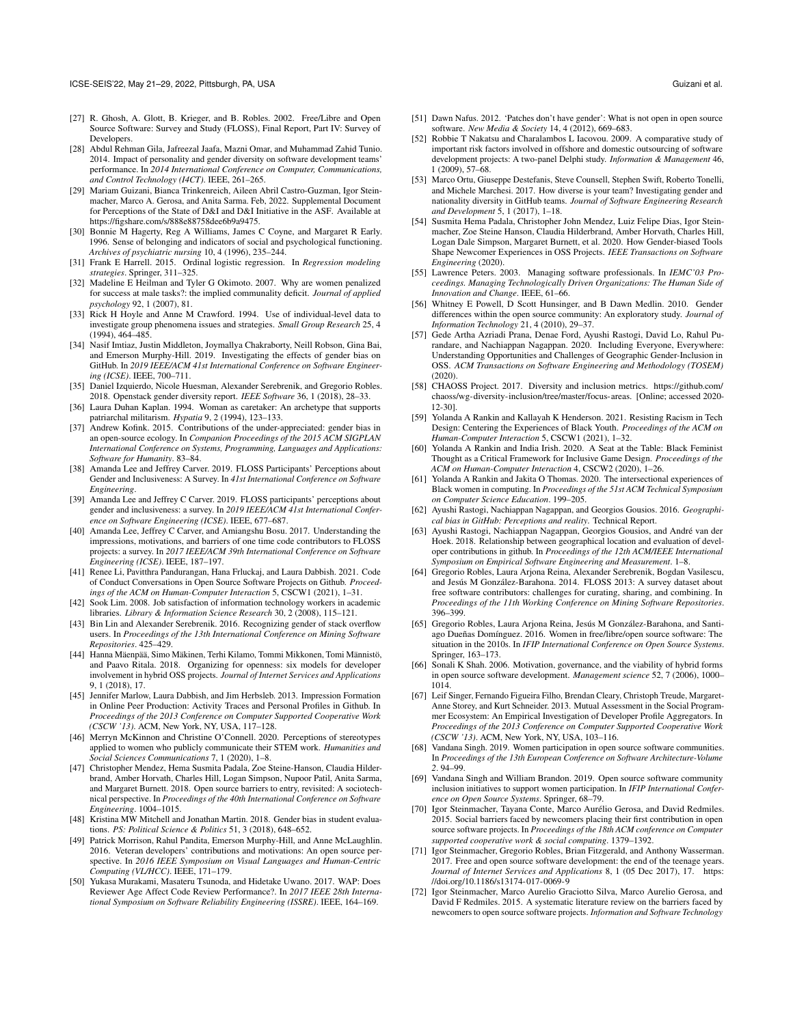- <span id="page-11-3"></span>[27] R. Ghosh, A. Glott, B. Krieger, and B. Robles. 2002. Free/Libre and Open Source Software: Survey and Study (FLOSS), Final Report, Part IV: Survey of Developers.
- <span id="page-11-18"></span>[28] Abdul Rehman Gila, Jafreezal Jaafa, Mazni Omar, and Muhammad Zahid Tunio. 2014. Impact of personality and gender diversity on software development teams' performance. In *2014 International Conference on Computer, Communications, and Control Technology (I4CT)*. IEEE, 261–265.
- <span id="page-11-23"></span>[29] Mariam Guizani, Bianca Trinkenreich, Aileen Abril Castro-Guzman, Igor Steinmacher, Marco A. Gerosa, and Anita Sarma. Feb, 2022. Supplemental Document for Perceptions of the State of D&I and D&I Initiative in the ASF. Available at [https://figshare.com/s/888e88758dee6b9a9475.](https://figshare.com/s/888e88758dee6b9a9475)
- <span id="page-11-33"></span>[30] Bonnie M Hagerty, Reg A Williams, James C Coyne, and Margaret R Early. 1996. Sense of belonging and indicators of social and psychological functioning. *Archives of psychiatric nursing* 10, 4 (1996), 235–244.
- <span id="page-11-24"></span>[31] Frank E Harrell. 2015. Ordinal logistic regression. In *Regression modeling strategies*. Springer, 311–325.
- <span id="page-11-25"></span>[32] Madeline E Heilman and Tyler G Okimoto. 2007. Why are women penalized for success at male tasks?: the implied communality deficit. *Journal of applied psychology* 92, 1 (2007), 81.
- <span id="page-11-34"></span>[33] Rick H Hoyle and Anne M Crawford. 1994. Use of individual-level data to investigate group phenomena issues and strategies. *Small Group Research* 25, 4 (1994), 464–485.
- <span id="page-11-44"></span>[34] Nasif Imtiaz, Justin Middleton, Joymallya Chakraborty, Neill Robson, Gina Bai, and Emerson Murphy-Hill. 2019. Investigating the effects of gender bias on GitHub. In *2019 IEEE/ACM 41st International Conference on Software Engineering (ICSE)*. IEEE, 700–711.
- <span id="page-11-19"></span>[35] Daniel Izquierdo, Nicole Huesman, Alexander Serebrenik, and Gregorio Robles. 2018. Openstack gender diversity report. *IEEE Software* 36, 1 (2018), 28–33.
- <span id="page-11-28"></span>[36] Laura Duhan Kaplan. 1994. Woman as caretaker: An archetype that supports patriarchal militarism. *Hypatia* 9, 2 (1994), 123–133.
- <span id="page-11-45"></span>[37] Andrew Kofink. 2015. Contributions of the under-appreciated: gender bias in an open-source ecology. In *Companion Proceedings of the 2015 ACM SIGPLAN International Conference on Systems, Programming, Languages and Applications: Software for Humanity*. 83–84.
- <span id="page-11-5"></span>[38] Amanda Lee and Jeffrey Carver. 2019. FLOSS Participants' Perceptions about Gender and Inclusiveness: A Survey. In *41st International Conference on Software Engineering*.
- <span id="page-11-2"></span>[39] Amanda Lee and Jeffrey C Carver. 2019. FLOSS participants' perceptions about gender and inclusiveness: a survey. In *2019 IEEE/ACM 41st International Conference on Software Engineering (ICSE)*. IEEE, 677–687.
- <span id="page-11-38"></span>[40] Amanda Lee, Jeffrey C Carver, and Amiangshu Bosu. 2017. Understanding the impressions, motivations, and barriers of one time code contributors to FLOSS projects: a survey. In *2017 IEEE/ACM 39th International Conference on Software Engineering (ICSE)*. IEEE, 187–197.
- <span id="page-11-35"></span>[41] Renee Li, Pavitthra Pandurangan, Hana Frluckaj, and Laura Dabbish. 2021. Code of Conduct Conversations in Open Source Software Projects on Github. *Proceedings of the ACM on Human-Computer Interaction* 5, CSCW1 (2021), 1–31.
- <span id="page-11-32"></span>[42] Sook Lim. 2008. Job satisfaction of information technology workers in academic libraries. *Library & Information Science Research* 30, 2 (2008), 115–121.
- <span id="page-11-20"></span>[43] Bin Lin and Alexander Serebrenik. 2016. Recognizing gender of stack overflow users. In *Proceedings of the 13th International Conference on Mining Software Repositories*. 425–429.
- <span id="page-11-36"></span>[44] Hanna Mäenpää, Simo Mäkinen, Terhi Kilamo, Tommi Mikkonen, Tomi Männistö, and Paavo Ritala. 2018. Organizing for openness: six models for developer involvement in hybrid OSS projects. *Journal of Internet Services and Applications* 9, 1 (2018), 17.
- <span id="page-11-0"></span>[45] Jennifer Marlow, Laura Dabbish, and Jim Herbsleb. 2013. Impression Formation in Online Peer Production: Activity Traces and Personal Profiles in Github. In *Proceedings of the 2013 Conference on Computer Supported Cooperative Work (CSCW '13)*. ACM, New York, NY, USA, 117–128.
- <span id="page-11-26"></span>[46] Merryn McKinnon and Christine O'Connell. 2020. Perceptions of stereotypes applied to women who publicly communicate their STEM work. *Humanities and Social Sciences Communications* 7, 1 (2020), 1–8.
- <span id="page-11-6"></span>[47] Christopher Mendez, Hema Susmita Padala, Zoe Steine-Hanson, Claudia Hilderbrand, Amber Horvath, Charles Hill, Logan Simpson, Nupoor Patil, Anita Sarma, and Margaret Burnett. 2018. Open source barriers to entry, revisited: A sociotechnical perspective. In *Proceedings of the 40th International Conference on Software Engineering*. 1004–1015.
- <span id="page-11-27"></span>[48] Kristina MW Mitchell and Jonathan Martin. 2018. Gender bias in student evaluations. *PS: Political Science & Politics* 51, 3 (2018), 648–652.
- <span id="page-11-12"></span>[49] Patrick Morrison, Rahul Pandita, Emerson Murphy-Hill, and Anne McLaughlin. 2016. Veteran developers' contributions and motivations: An open source perspective. In *2016 IEEE Symposium on Visual Languages and Human-Centric Computing (VL/HCC)*. IEEE, 171–179.
- <span id="page-11-11"></span>[50] Yukasa Murakami, Masateru Tsunoda, and Hidetake Uwano. 2017. WAP: Does Reviewer Age Affect Code Review Performance?. In *2017 IEEE 28th International Symposium on Software Reliability Engineering (ISSRE)*. IEEE, 164–169.
- <span id="page-11-7"></span>[51] Dawn Nafus. 2012. 'Patches don't have gender': What is not open in open source software. *New Media & Society* 14, 4 (2012), 669–683.
- <span id="page-11-39"></span>[52] Robbie T Nakatsu and Charalambos L Iacovou. 2009. A comparative study of important risk factors involved in offshore and domestic outsourcing of software development projects: A two-panel Delphi study. *Information & Management* 46, 1 (2009), 57–68.
- <span id="page-11-13"></span>[53] Marco Ortu, Giuseppe Destefanis, Steve Counsell, Stephen Swift, Roberto Tonelli, and Michele Marchesi. 2017. How diverse is your team? Investigating gender and nationality diversity in GitHub teams. *Journal of Software Engineering Research and Development* 5, 1 (2017), 1–18.
- <span id="page-11-14"></span>[54] Susmita Hema Padala, Christopher John Mendez, Luiz Felipe Dias, Igor Steinmacher, Zoe Steine Hanson, Claudia Hilderbrand, Amber Horvath, Charles Hill, Logan Dale Simpson, Margaret Burnett, et al. 2020. How Gender-biased Tools Shape Newcomer Experiences in OSS Projects. *IEEE Transactions on Software Engineering* (2020).
- <span id="page-11-40"></span>[55] Lawrence Peters. 2003. Managing software professionals. In *IEMC'03 Proceedings. Managing Technologically Driven Organizations: The Human Side of Innovation and Change*. IEEE, 61–66.
- <span id="page-11-31"></span>[56] Whitney E Powell, D Scott Hunsinger, and B Dawn Medlin. 2010. Gender differences within the open source community: An exploratory study. *Journal of Information Technology* 21, 4 (2010), 29–37.
- <span id="page-11-8"></span>[57] Gede Artha Azriadi Prana, Denae Ford, Ayushi Rastogi, David Lo, Rahul Purandare, and Nachiappan Nagappan. 2020. Including Everyone, Everywhere: Understanding Opportunities and Challenges of Geographic Gender-Inclusion in OSS. *ACM Transactions on Software Engineering and Methodology (TOSEM)* (2020).
- <span id="page-11-17"></span>[58] CHAOSS Project. 2017. Diversity and inclusion metrics. [https://github.com/](https://github.com/chaoss/wg-diversity-inclusion/tree/master/focus-areas) [chaoss/wg-diversity-inclusion/tree/master/focus-areas.](https://github.com/chaoss/wg-diversity-inclusion/tree/master/focus-areas) [Online; accessed 2020- 12-30].
- <span id="page-11-43"></span>[59] Yolanda A Rankin and Kallayah K Henderson. 2021. Resisting Racism in Tech Design: Centering the Experiences of Black Youth. *Proceedings of the ACM on Human-Computer Interaction* 5, CSCW1 (2021), 1–32.
- <span id="page-11-42"></span>[60] Yolanda A Rankin and India Irish. 2020. A Seat at the Table: Black Feminist Thought as a Critical Framework for Inclusive Game Design. *Proceedings of the ACM on Human-Computer Interaction* 4, CSCW2 (2020), 1–26.
- <span id="page-11-41"></span>[61] Yolanda A Rankin and Jakita O Thomas. 2020. The intersectional experiences of Black women in computing. In *Proceedings of the 51st ACM Technical Symposium on Computer Science Education*. 199–205.
- <span id="page-11-9"></span>[62] Ayushi Rastogi, Nachiappan Nagappan, and Georgios Gousios. 2016. *Geographical bias in GitHub: Perceptions and reality*. Technical Report.
- <span id="page-11-10"></span>[63] Ayushi Rastogi, Nachiappan Nagappan, Georgios Gousios, and André van der Hoek. 2018. Relationship between geographical location and evaluation of developer contributions in github. In *Proceedings of the 12th ACM/IEEE International Symposium on Empirical Software Engineering and Measurement*. 1–8.
- <span id="page-11-21"></span>[64] Gregorio Robles, Laura Arjona Reina, Alexander Serebrenik, Bogdan Vasilescu, and Jesús M González-Barahona. 2014. FLOSS 2013: A survey dataset about free software contributors: challenges for curating, sharing, and combining. In *Proceedings of the 11th Working Conference on Mining Software Repositories*. 396–399.
- <span id="page-11-4"></span>[65] Gregorio Robles, Laura Arjona Reina, Jesús M González-Barahona, and Santiago Dueñas Domínguez. 2016. Women in free/libre/open source software: The situation in the 2010s. In *IFIP International Conference on Open Source Systems*. Springer, 163–173.
- <span id="page-11-37"></span>[66] Sonali K Shah. 2006. Motivation, governance, and the viability of hybrid forms in open source software development. *Management science* 52, 7 (2006), 1000– 1014.
- <span id="page-11-1"></span>[67] Leif Singer, Fernando Figueira Filho, Brendan Cleary, Christoph Treude, Margaret-Anne Storey, and Kurt Schneider. 2013. Mutual Assessment in the Social Programmer Ecosystem: An Empirical Investigation of Developer Profile Aggregators. In *Proceedings of the 2013 Conference on Computer Supported Cooperative Work (CSCW '13)*. ACM, New York, NY, USA, 103–116.
- <span id="page-11-22"></span>[68] Vandana Singh. 2019. Women participation in open source software communities. In *Proceedings of the 13th European Conference on Software Architecture-Volume 2*. 94–99.
- <span id="page-11-16"></span>[69] Vandana Singh and William Brandon. 2019. Open source software community inclusion initiatives to support women participation. In *IFIP International Conference on Open Source Systems*. Springer, 68–79.
- <span id="page-11-29"></span>[70] Igor Steinmacher, Tayana Conte, Marco Aurélio Gerosa, and David Redmiles. 2015. Social barriers faced by newcomers placing their first contribution in open source software projects. In *Proceedings of the 18th ACM conference on Computer supported cooperative work & social computing*. 1379–1392.
- <span id="page-11-15"></span>[71] Igor Steinmacher, Gregorio Robles, Brian Fitzgerald, and Anthony Wasserman. 2017. Free and open source software development: the end of the teenage years. *Journal of Internet Services and Applications* 8, 1 (05 Dec 2017), 17. [https:](https://doi.org/10.1186/s13174-017-0069-9) [//doi.org/10.1186/s13174-017-0069-9](https://doi.org/10.1186/s13174-017-0069-9)
- <span id="page-11-30"></span>[72] Igor Steinmacher, Marco Aurelio Graciotto Silva, Marco Aurelio Gerosa, and David F Redmiles. 2015. A systematic literature review on the barriers faced by newcomers to open source software projects. *Information and Software Technology*